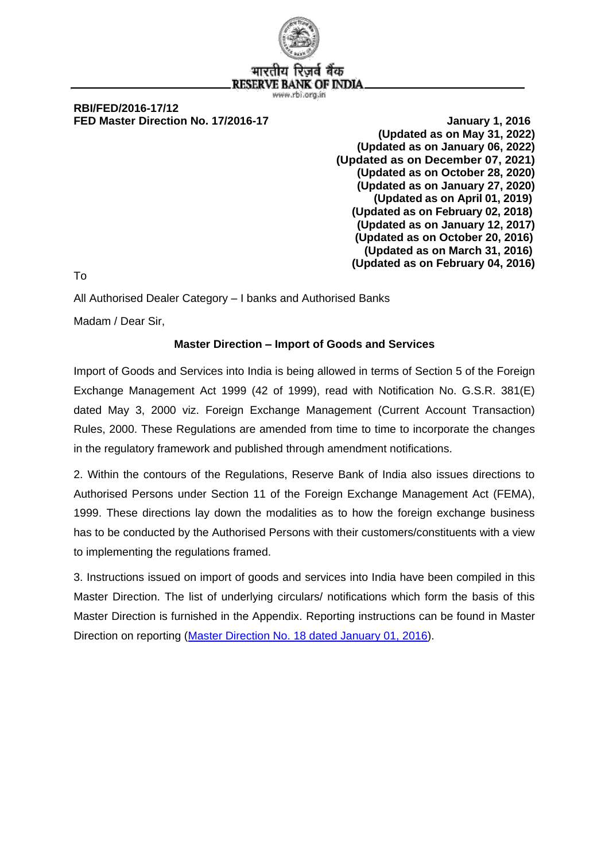

भारतीय वे बैक **RESERVE BANK OF INDIA** www.rbi.org.in

#### **RBI/FED/2016-17/12 FED Master Direction No. 17/2016-17** All research and the United States of the United States of the United States of the United States of the United States of the United States of the United States of the United States of

**(Updated as on May 31, 2022) (Updated as on January 06, 2022) (Updated as on December 07, 2021) (Updated as on October 28, 2020) (Updated as on January 27, 2020) (Updated as on April 01, 2019) (Updated as on February 02, 2018) (Updated as on January 12, 2017) (Updated as on October 20, 2016) (Updated as on March 31, 2016) (Updated as on February 04, 2016)**

To

All Authorised Dealer Category – I banks and Authorised Banks

Madam / Dear Sir,

#### **Master Direction – Import of Goods and Services**

Import of Goods and Services into India is being allowed in terms of Section 5 of the Foreign Exchange Management Act 1999 (42 of 1999), read with Notification No. G.S.R. 381(E) dated May 3, 2000 viz. Foreign Exchange Management (Current Account Transaction) Rules, 2000. These Regulations are amended from time to time to incorporate the changes in the regulatory framework and published through amendment notifications.

2. Within the contours of the Regulations, Reserve Bank of India also issues directions to Authorised Persons under Section 11 of the Foreign Exchange Management Act (FEMA), 1999. These directions lay down the modalities as to how the foreign exchange business has to be conducted by the Authorised Persons with their customers/constituents with a view to implementing the regulations framed.

3. Instructions issued on import of goods and services into India have been compiled in this Master Direction. The list of underlying circulars/ notifications which form the basis of this Master Direction is furnished in the Appendix. Reporting instructions can be found in Master Direction on reporting [\(Master Direction No. 18 dated January 01, 2016\)](https://rbi.org.in/Scripts/BS_ViewMasDirections.aspx?id=10202).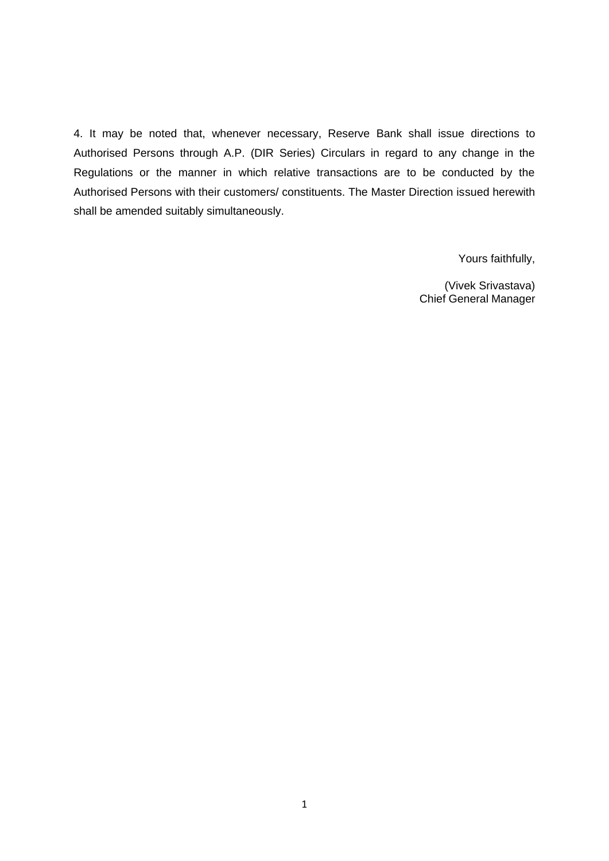4. It may be noted that, whenever necessary, Reserve Bank shall issue directions to Authorised Persons through A.P. (DIR Series) Circulars in regard to any change in the Regulations or the manner in which relative transactions are to be conducted by the Authorised Persons with their customers/ constituents. The Master Direction issued herewith shall be amended suitably simultaneously.

Yours faithfully,

(Vivek Srivastava) Chief General Manager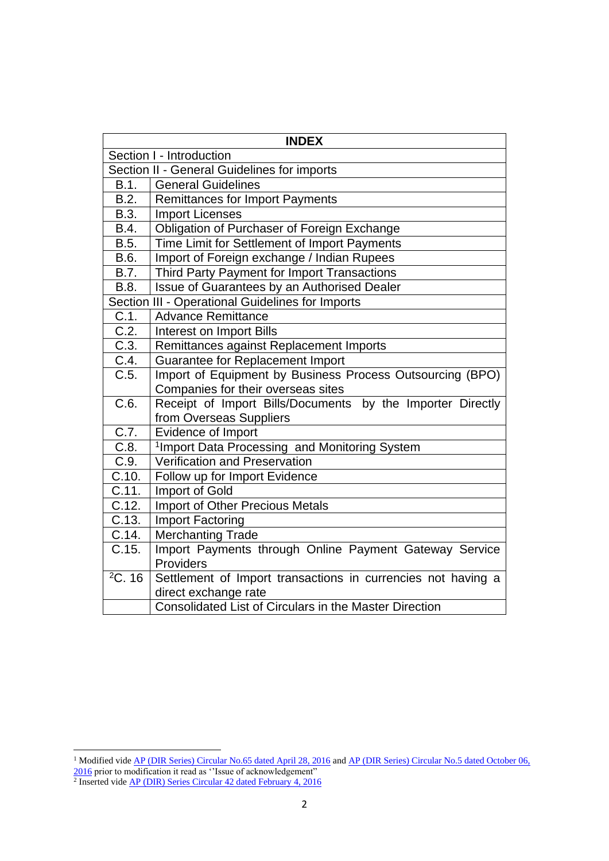| <b>INDEX</b>        |                                                              |  |
|---------------------|--------------------------------------------------------------|--|
|                     | Section I - Introduction                                     |  |
|                     | Section II - General Guidelines for imports                  |  |
| B.1.                | <b>General Guidelines</b>                                    |  |
| B.2.                | <b>Remittances for Import Payments</b>                       |  |
| B.3.                | <b>Import Licenses</b>                                       |  |
| B.4.                | Obligation of Purchaser of Foreign Exchange                  |  |
| B.5.                | Time Limit for Settlement of Import Payments                 |  |
| B.6.                | Import of Foreign exchange / Indian Rupees                   |  |
| B.7.                | Third Party Payment for Import Transactions                  |  |
| B.8.                | <b>Issue of Guarantees by an Authorised Dealer</b>           |  |
|                     | Section III - Operational Guidelines for Imports             |  |
| C.1.                | <b>Advance Remittance</b>                                    |  |
| $\overline{C.2}$ .  | Interest on Import Bills                                     |  |
| C.3.                | Remittances against Replacement Imports                      |  |
| C.4.                | Guarantee for Replacement Import                             |  |
| C.5.                | Import of Equipment by Business Process Outsourcing (BPO)    |  |
|                     | Companies for their overseas sites                           |  |
| $\overline{C.6}$ .  | Receipt of Import Bills/Documents by the Importer Directly   |  |
|                     | from Overseas Suppliers                                      |  |
| C.7.                | Evidence of Import                                           |  |
| C.8.                | <sup>1</sup> Import Data Processing and Monitoring System    |  |
| C.9.                | Verification and Preservation                                |  |
| C.10.               | Follow up for Import Evidence                                |  |
| C.11.               | Import of Gold                                               |  |
| C.12.               | <b>Import of Other Precious Metals</b>                       |  |
| C.13.               | <b>Import Factoring</b>                                      |  |
| $\overline{C}$ .14. | <b>Merchanting Trade</b>                                     |  |
| $\overline{C.15}$ . | Import Payments through Online Payment Gateway Service       |  |
|                     | Providers                                                    |  |
| 2C.16               | Settlement of Import transactions in currencies not having a |  |
|                     | direct exchange rate                                         |  |
|                     | Consolidated List of Circulars in the Master Direction       |  |

<sup>&</sup>lt;sup>1</sup> Modified vid[e AP \(DIR Series\) Circular No.65 dated April 28, 2016](https://rbi.org.in/Scripts/NotificationUser.aspx?Id=10372&Mode=0) and AP (DIR Series) Circular No.5 dated October 06,

[<sup>2016</sup>](https://rbi.org.in/Scripts/NotificationUser.aspx?Id=10633&Mode=0) prior to modification it read as "Issue of acknowledgement"<br><sup>2</sup> Inserted vide [AP \(DIR\) Series Circular 42 dated February 4, 2016](https://www.rbi.org.in/Scripts/NotificationUser.aspx?Id=10263&Mode=0)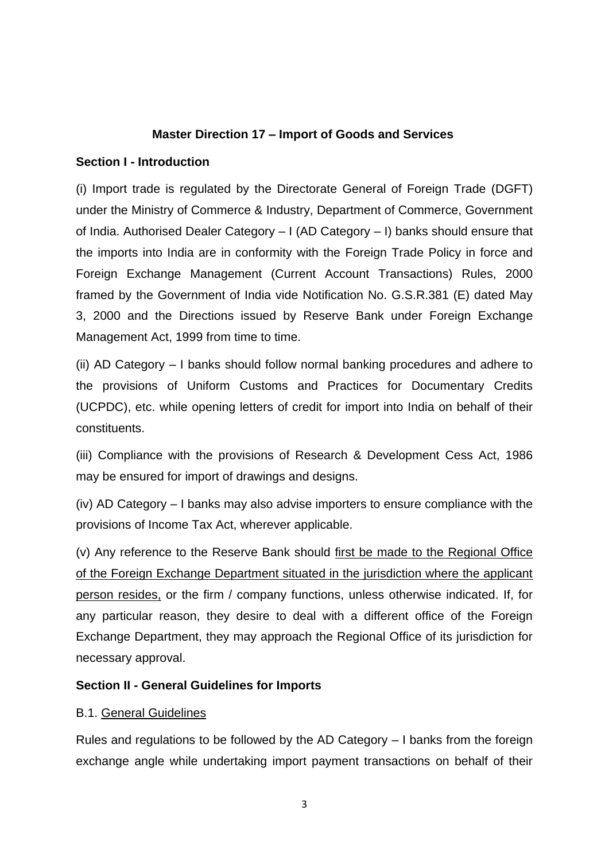## **Master Direction 17 – Import of Goods and Services**

#### **Section I - Introduction**

(i) Import trade is regulated by the Directorate General of Foreign Trade (DGFT) under the Ministry of Commerce & Industry, Department of Commerce, Government of India. Authorised Dealer Category – I (AD Category – I) banks should ensure that the imports into India are in conformity with the Foreign Trade Policy in force and Foreign Exchange Management (Current Account Transactions) Rules, 2000 framed by the Government of India vide Notification No. G.S.R.381 (E) dated May 3, 2000 and the Directions issued by Reserve Bank under Foreign Exchange Management Act, 1999 from time to time.

(ii) AD Category – I banks should follow normal banking procedures and adhere to the provisions of Uniform Customs and Practices for Documentary Credits (UCPDC), etc. while opening letters of credit for import into India on behalf of their constituents.

(iii) Compliance with the provisions of Research & Development Cess Act, 1986 may be ensured for import of drawings and designs.

(iv) AD Category – I banks may also advise importers to ensure compliance with the provisions of Income Tax Act, wherever applicable.

(v) Any reference to the Reserve Bank should first be made to the Regional Office of the Foreign Exchange Department situated in the jurisdiction where the applicant person resides, or the firm / company functions, unless otherwise indicated. If, for any particular reason, they desire to deal with a different office of the Foreign Exchange Department, they may approach the Regional Office of its jurisdiction for necessary approval.

#### **Section II - General Guidelines for Imports**

#### B.1. General Guidelines

Rules and regulations to be followed by the AD Category – I banks from the foreign exchange angle while undertaking import payment transactions on behalf of their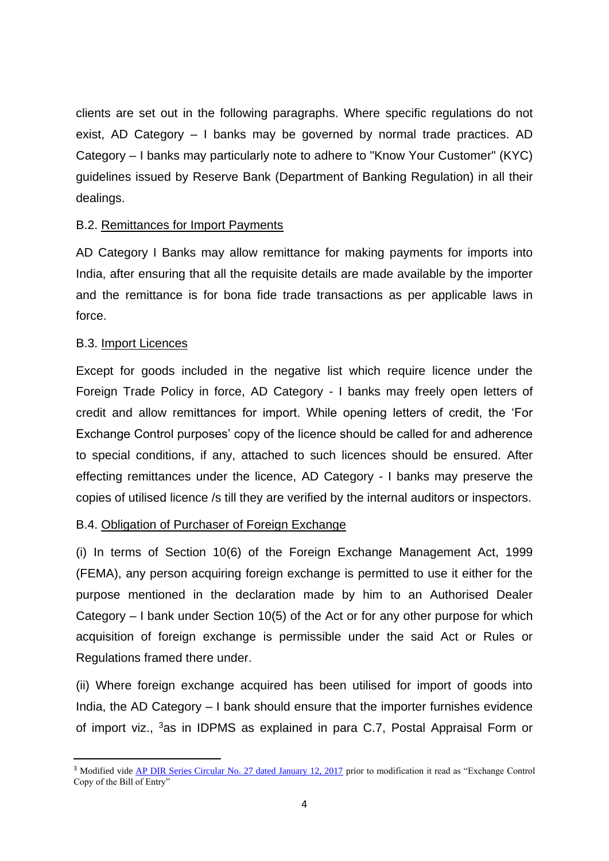clients are set out in the following paragraphs. Where specific regulations do not exist, AD Category – I banks may be governed by normal trade practices. AD Category – I banks may particularly note to adhere to "Know Your Customer" (KYC) guidelines issued by Reserve Bank (Department of Banking Regulation) in all their dealings.

#### B.2. Remittances for Import Payments

AD Category I Banks may allow remittance for making payments for imports into India, after ensuring that all the requisite details are made available by the importer and the remittance is for bona fide trade transactions as per applicable laws in force.

#### B.3. Import Licences

1

Except for goods included in the negative list which require licence under the Foreign Trade Policy in force, AD Category - I banks may freely open letters of credit and allow remittances for import. While opening letters of credit, the 'For Exchange Control purposes' copy of the licence should be called for and adherence to special conditions, if any, attached to such licences should be ensured. After effecting remittances under the licence, AD Category - I banks may preserve the copies of utilised licence /s till they are verified by the internal auditors or inspectors.

## B.4. Obligation of Purchaser of Foreign Exchange

(i) In terms of Section 10(6) of the Foreign Exchange Management Act, 1999 (FEMA), any person acquiring foreign exchange is permitted to use it either for the purpose mentioned in the declaration made by him to an Authorised Dealer Category – I bank under Section 10(5) of the Act or for any other purpose for which acquisition of foreign exchange is permissible under the said Act or Rules or Regulations framed there under.

(ii) Where foreign exchange acquired has been utilised for import of goods into India, the AD Category – I bank should ensure that the importer furnishes evidence of import viz., <sup>3</sup>as in IDPMS as explained in para C.7, Postal Appraisal Form or

<sup>&</sup>lt;sup>3</sup> Modified vide **AP DIR Series Circular No. 27 dated January 12, 2017** prior to modification it read as "Exchange Control Copy of the Bill of Entry"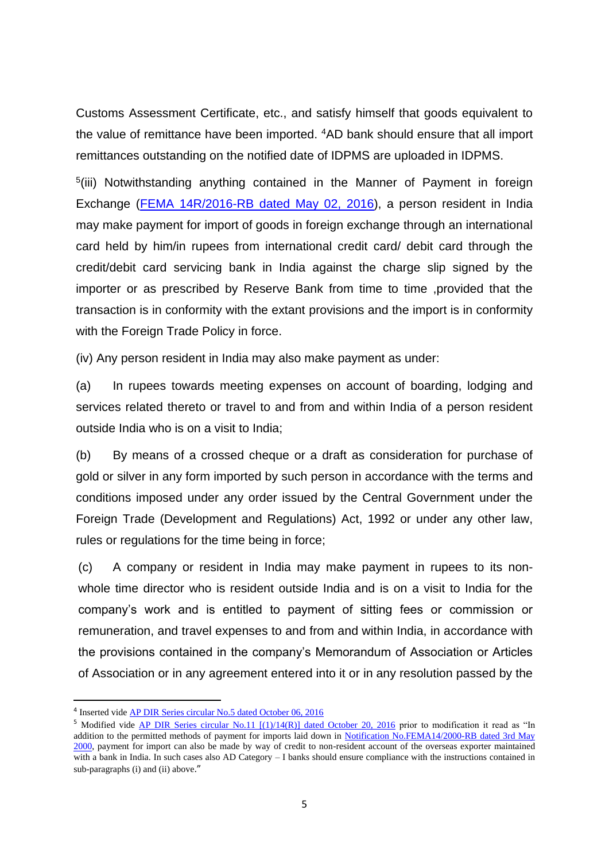Customs Assessment Certificate, etc., and satisfy himself that goods equivalent to the value of remittance have been imported. <sup>4</sup>AD bank should ensure that all import remittances outstanding on the notified date of IDPMS are uploaded in IDPMS.

<sup>5</sup>(iii) Notwithstanding anything contained in the Manner of Payment in foreign Exchange [\(FEMA 14R/2016-RB dated May 02, 2016\)](https://rbi.org.in/Scripts/NotificationUser.aspx?Id=10392&Mode=0), a person resident in India may make payment for import of goods in foreign exchange through an international card held by him/in rupees from international credit card/ debit card through the credit/debit card servicing bank in India against the charge slip signed by the importer or as prescribed by Reserve Bank from time to time ,provided that the transaction is in conformity with the extant provisions and the import is in conformity with the Foreign Trade Policy in force.

(iv) Any person resident in India may also make payment as under:

(a) In rupees towards meeting expenses on account of boarding, lodging and services related thereto or travel to and from and within India of a person resident outside India who is on a visit to India;

(b) By means of a crossed cheque or a draft as consideration for purchase of gold or silver in any form imported by such person in accordance with the terms and conditions imposed under any order issued by the Central Government under the Foreign Trade (Development and Regulations) Act, 1992 or under any other law, rules or regulations for the time being in force;

(c) A company or resident in India may make payment in rupees to its nonwhole time director who is resident outside India and is on a visit to India for the company's work and is entitled to payment of sitting fees or commission or remuneration, and travel expenses to and from and within India, in accordance with the provisions contained in the company's Memorandum of Association or Articles of Association or in any agreement entered into it or in any resolution passed by the

<sup>&</sup>lt;sup>4</sup> Inserted vide **AP DIR Series circular No.5 dated October 06, 2016** 

<sup>&</sup>lt;sup>5</sup> Modified vide [AP DIR Series circular No.11 \[\(1\)/14\(R\)\] dated October 20, 2016](https://rbi.org.in/Scripts/NotificationUser.aspx?Id=10653&Mode=0) prior to modification it read as "In addition to the permitted methods of payment for imports laid down in [Notification No.FEMA14/2000-RB dated 3rd May](https://rbi.org.in/Scripts/BS_FemaNotifications.aspx?Id=168)  [2000,](https://rbi.org.in/Scripts/BS_FemaNotifications.aspx?Id=168) payment for import can also be made by way of credit to non-resident account of the overseas exporter maintained with a bank in India. In such cases also AD Category – I banks should ensure compliance with the instructions contained in sub-paragraphs (i) and (ii) above."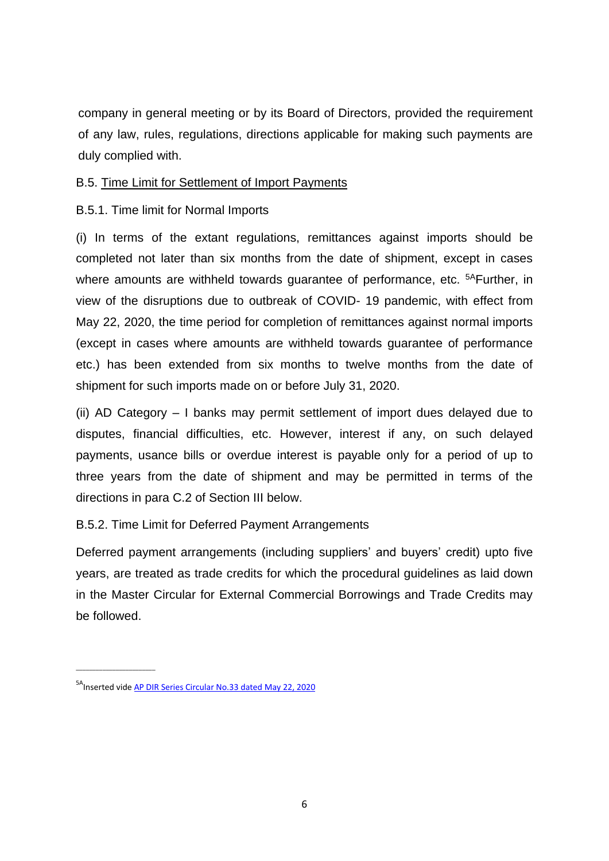company in general meeting or by its Board of Directors, provided the requirement of any law, rules, regulations, directions applicable for making such payments are duly complied with.

#### B.5. Time Limit for Settlement of Import Payments

#### B.5.1. Time limit for Normal Imports

(i) In terms of the extant regulations, remittances against imports should be completed not later than six months from the date of shipment, except in cases where amounts are withheld towards guarantee of performance, etc. <sup>5A</sup>Further, in view of the disruptions due to outbreak of COVID- 19 pandemic, with effect from May 22, 2020, the time period for completion of remittances against normal imports (except in cases where amounts are withheld towards guarantee of performance etc.) has been extended from six months to twelve months from the date of shipment for such imports made on or before July 31, 2020.

(ii) AD Category – I banks may permit settlement of import dues delayed due to disputes, financial difficulties, etc. However, interest if any, on such delayed payments, usance bills or overdue interest is payable only for a period of up to three years from the date of shipment and may be permitted in terms of the directions in para C.2 of Section III below.

## B.5.2. Time Limit for Deferred Payment Arrangements

Deferred payment arrangements (including suppliers' and buyers' credit) upto five years, are treated as trade credits for which the procedural guidelines as laid down in the Master Circular for External Commercial Borrowings and Trade Credits may be followed.

 $\_$ 

<sup>&</sup>lt;sup>5A</sup>Inserted vide AP DIR Series Circular No.33 dated [May 22, 2020](https://www.rbi.org.in/scripts/FS_Notification.aspx?Id=11900&fn=5&Mode=0)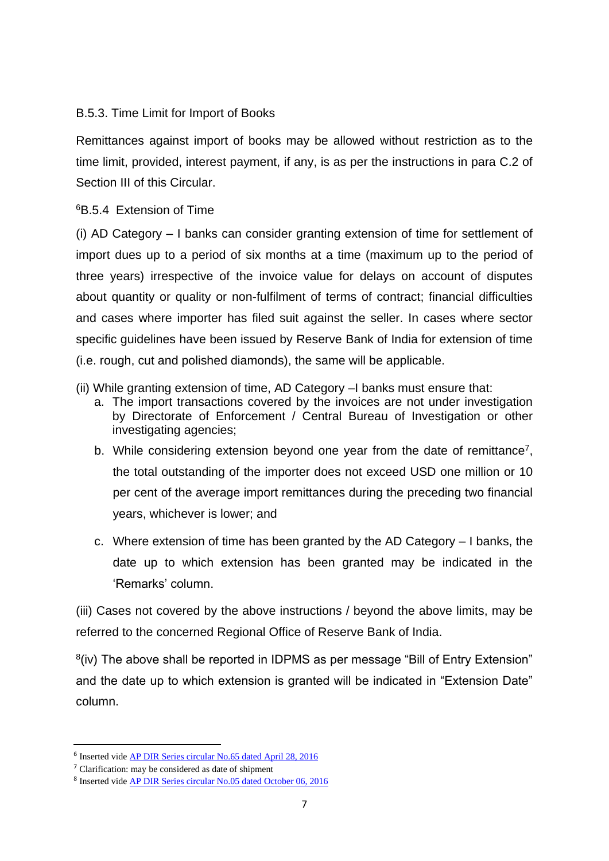## B.5.3. Time Limit for Import of Books

Remittances against import of books may be allowed without restriction as to the time limit, provided, interest payment, if any, is as per the instructions in para C.2 of Section III of this Circular.

## <sup>6</sup>B.5.4 Extension of Time

(i) AD Category – I banks can consider granting extension of time for settlement of import dues up to a period of six months at a time (maximum up to the period of three years) irrespective of the invoice value for delays on account of disputes about quantity or quality or non-fulfilment of terms of contract; financial difficulties and cases where importer has filed suit against the seller. In cases where sector specific guidelines have been issued by Reserve Bank of India for extension of time (i.e. rough, cut and polished diamonds), the same will be applicable.

- (ii) While granting extension of time, AD Category –I banks must ensure that:
	- a. The import transactions covered by the invoices are not under investigation by Directorate of Enforcement / Central Bureau of Investigation or other investigating agencies;
	- b. While considering extension beyond one year from the date of remittance<sup>7</sup>, the total outstanding of the importer does not exceed USD one million or 10 per cent of the average import remittances during the preceding two financial years, whichever is lower; and
	- c. Where extension of time has been granted by the AD Category I banks, the date up to which extension has been granted may be indicated in the 'Remarks' column.

(iii) Cases not covered by the above instructions / beyond the above limits, may be referred to the concerned Regional Office of Reserve Bank of India.

<sup>8</sup>(iv) The above shall be reported in IDPMS as per message "Bill of Entry Extension" and the date up to which extension is granted will be indicated in "Extension Date" column.

<sup>&</sup>lt;sup>6</sup> Inserted vide **AP DIR Series circular No.65 dated April 28, 2016** 

<sup>7</sup> Clarification: may be considered as date of shipment

<sup>&</sup>lt;sup>8</sup> Inserted vide **AP DIR Series circular No.05 dated October 06, 2016**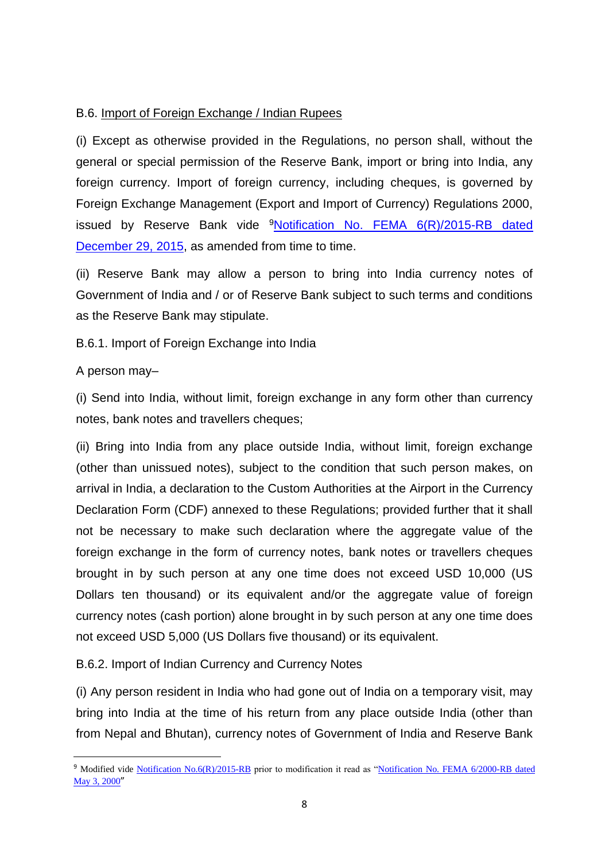## B.6. Import of Foreign Exchange / Indian Rupees

(i) Except as otherwise provided in the Regulations, no person shall, without the general or special permission of the Reserve Bank, import or bring into India, any foreign currency. Import of foreign currency, including cheques, is governed by Foreign Exchange Management (Export and Import of Currency) Regulations 2000, issued by Reserve Bank vide  $9$ Notification No. FEMA  $6(R)/2015$ -RB dated [December 29, 2015,](https://rbi.org.in/Scripts/NotificationUser.aspx?Id=10255&Mode=0) as amended from time to time.

(ii) Reserve Bank may allow a person to bring into India currency notes of Government of India and / or of Reserve Bank subject to such terms and conditions as the Reserve Bank may stipulate.

B.6.1. Import of Foreign Exchange into India

#### A person may–

 $\overline{a}$ 

(i) Send into India, without limit, foreign exchange in any form other than currency notes, bank notes and travellers cheques;

(ii) Bring into India from any place outside India, without limit, foreign exchange (other than unissued notes), subject to the condition that such person makes, on arrival in India, a declaration to the Custom Authorities at the Airport in the Currency Declaration Form (CDF) annexed to these Regulations; provided further that it shall not be necessary to make such declaration where the aggregate value of the foreign exchange in the form of currency notes, bank notes or travellers cheques brought in by such person at any one time does not exceed USD 10,000 (US Dollars ten thousand) or its equivalent and/or the aggregate value of foreign currency notes (cash portion) alone brought in by such person at any one time does not exceed USD 5,000 (US Dollars five thousand) or its equivalent.

B.6.2. Import of Indian Currency and Currency Notes

(i) Any person resident in India who had gone out of India on a temporary visit, may bring into India at the time of his return from any place outside India (other than from Nepal and Bhutan), currency notes of Government of India and Reserve Bank

<sup>9</sup> Modified vide [Notification No.6\(R\)/2015-RB](https://rbi.org.in/Scripts/NotificationUser.aspx?Id=10255&Mode=0) prior to modification it read as ["Notification No. FEMA 6/2000-RB dated](https://www.rbi.org.in/Scripts/NotificationUser.aspx?Id=160&Mode=0)  [May 3, 2000](https://www.rbi.org.in/Scripts/NotificationUser.aspx?Id=160&Mode=0)"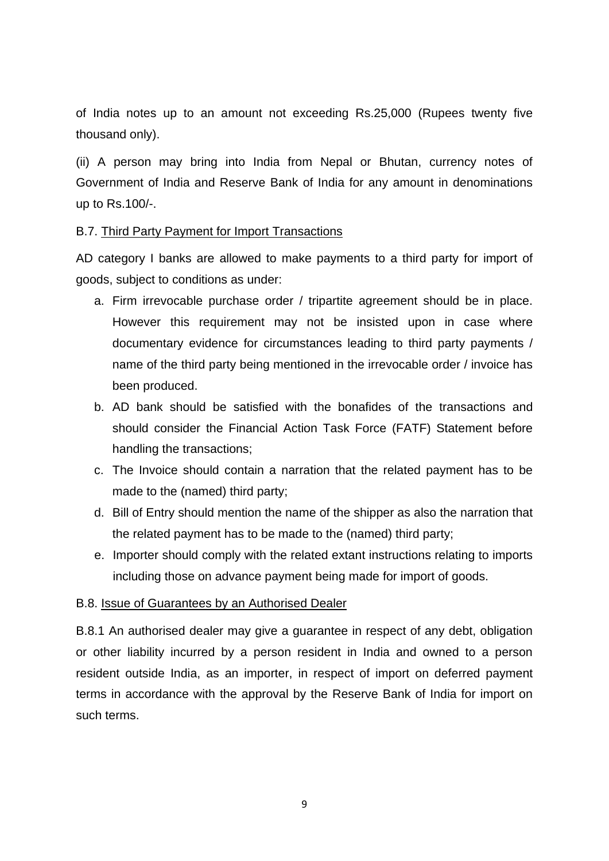of India notes up to an amount not exceeding Rs.25,000 (Rupees twenty five thousand only).

(ii) A person may bring into India from Nepal or Bhutan, currency notes of Government of India and Reserve Bank of India for any amount in denominations up to Rs.100/-.

#### B.7. Third Party Payment for Import Transactions

AD category I banks are allowed to make payments to a third party for import of goods, subject to conditions as under:

- a. Firm irrevocable purchase order / tripartite agreement should be in place. However this requirement may not be insisted upon in case where documentary evidence for circumstances leading to third party payments / name of the third party being mentioned in the irrevocable order / invoice has been produced.
- b. AD bank should be satisfied with the bonafides of the transactions and should consider the Financial Action Task Force (FATF) Statement before handling the transactions;
- c. The Invoice should contain a narration that the related payment has to be made to the (named) third party;
- d. Bill of Entry should mention the name of the shipper as also the narration that the related payment has to be made to the (named) third party;
- e. Importer should comply with the related extant instructions relating to imports including those on advance payment being made for import of goods.

#### B.8. Issue of Guarantees by an Authorised Dealer

B.8.1 An authorised dealer may give a guarantee in respect of any debt, obligation or other liability incurred by a person resident in India and owned to a person resident outside India, as an importer, in respect of import on deferred payment terms in accordance with the approval by the Reserve Bank of India for import on such terms.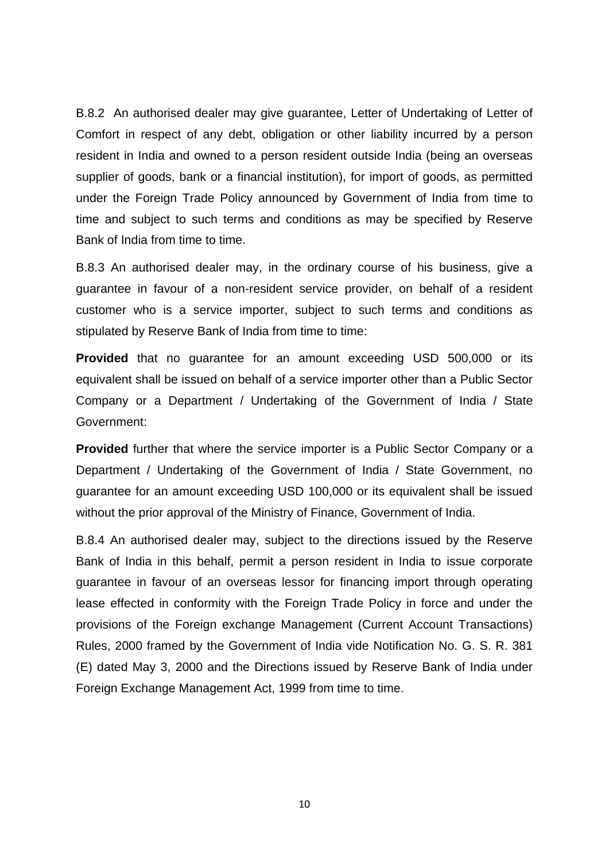B.8.2 An authorised dealer may give guarantee, Letter of Undertaking of Letter of Comfort in respect of any debt, obligation or other liability incurred by a person resident in India and owned to a person resident outside India (being an overseas supplier of goods, bank or a financial institution), for import of goods, as permitted under the Foreign Trade Policy announced by Government of India from time to time and subject to such terms and conditions as may be specified by Reserve Bank of India from time to time.

B.8.3 An authorised dealer may, in the ordinary course of his business, give a guarantee in favour of a non-resident service provider, on behalf of a resident customer who is a service importer, subject to such terms and conditions as stipulated by Reserve Bank of India from time to time:

**Provided** that no guarantee for an amount exceeding USD 500,000 or its equivalent shall be issued on behalf of a service importer other than a Public Sector Company or a Department / Undertaking of the Government of India / State Government:

**Provided** further that where the service importer is a Public Sector Company or a Department / Undertaking of the Government of India / State Government, no guarantee for an amount exceeding USD 100,000 or its equivalent shall be issued without the prior approval of the Ministry of Finance, Government of India.

B.8.4 An authorised dealer may, subject to the directions issued by the Reserve Bank of India in this behalf, permit a person resident in India to issue corporate guarantee in favour of an overseas lessor for financing import through operating lease effected in conformity with the Foreign Trade Policy in force and under the provisions of the Foreign exchange Management (Current Account Transactions) Rules, 2000 framed by the Government of India vide Notification No. G. S. R. 381 (E) dated May 3, 2000 and the Directions issued by Reserve Bank of India under Foreign Exchange Management Act, 1999 from time to time.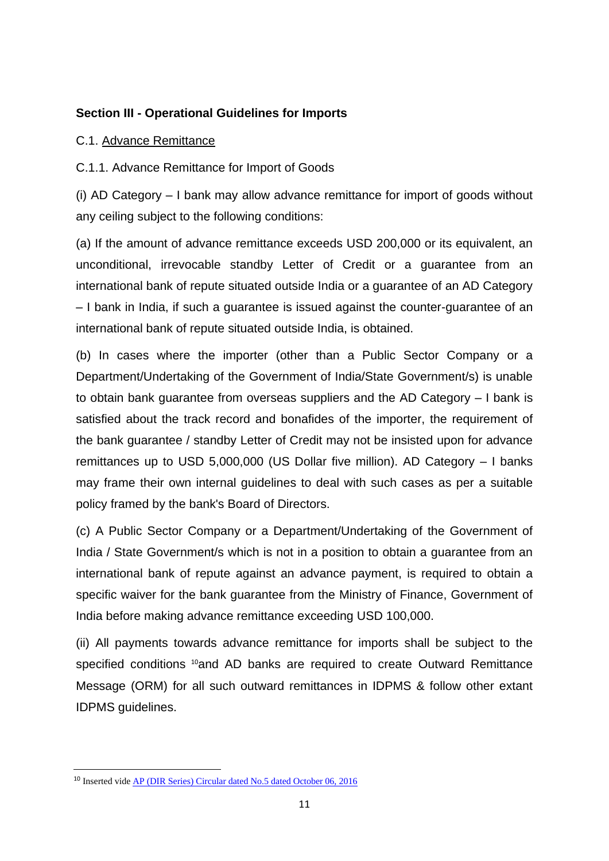#### **Section III - Operational Guidelines for Imports**

#### C.1. Advance Remittance

C.1.1. Advance Remittance for Import of Goods

(i) AD Category – I bank may allow advance remittance for import of goods without any ceiling subject to the following conditions:

(a) If the amount of advance remittance exceeds USD 200,000 or its equivalent, an unconditional, irrevocable standby Letter of Credit or a guarantee from an international bank of repute situated outside India or a guarantee of an AD Category – I bank in India, if such a guarantee is issued against the counter-guarantee of an international bank of repute situated outside India, is obtained.

(b) In cases where the importer (other than a Public Sector Company or a Department/Undertaking of the Government of India/State Government/s) is unable to obtain bank guarantee from overseas suppliers and the AD Category – I bank is satisfied about the track record and bonafides of the importer, the requirement of the bank guarantee / standby Letter of Credit may not be insisted upon for advance remittances up to USD 5,000,000 (US Dollar five million). AD Category – I banks may frame their own internal guidelines to deal with such cases as per a suitable policy framed by the bank's Board of Directors.

(c) A Public Sector Company or a Department/Undertaking of the Government of India / State Government/s which is not in a position to obtain a guarantee from an international bank of repute against an advance payment, is required to obtain a specific waiver for the bank guarantee from the Ministry of Finance, Government of India before making advance remittance exceeding USD 100,000.

(ii) All payments towards advance remittance for imports shall be subject to the specified conditions <sup>10</sup>and AD banks are required to create Outward Remittance Message (ORM) for all such outward remittances in IDPMS & follow other extant IDPMS guidelines.

<sup>10</sup> Inserted vide [AP \(DIR Series\) Circular dated No.5 dated October 06, 2016](https://rbi.org.in/Scripts/NotificationUser.aspx?Id=10633&Mode=0)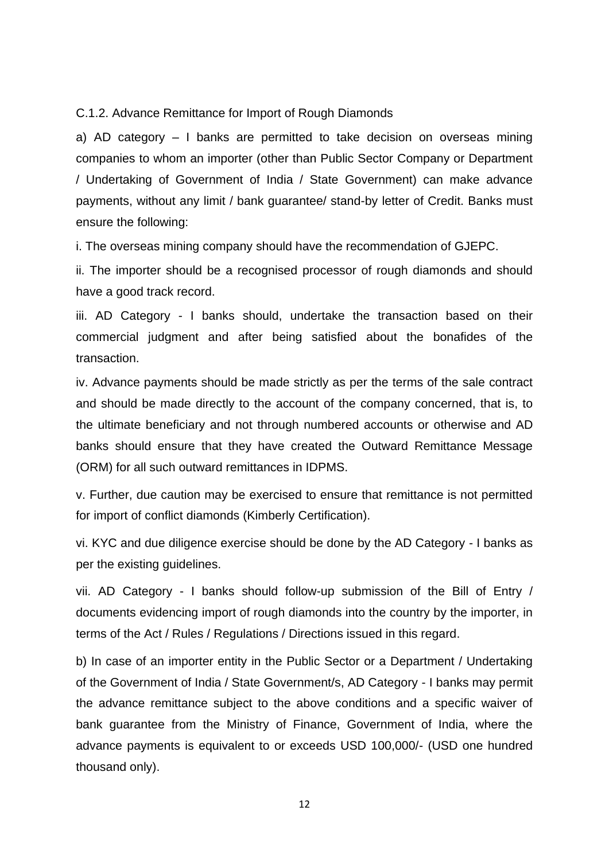C.1.2. Advance Remittance for Import of Rough Diamonds

a) AD category – I banks are permitted to take decision on overseas mining companies to whom an importer (other than Public Sector Company or Department / Undertaking of Government of India / State Government) can make advance payments, without any limit / bank guarantee/ stand-by letter of Credit. Banks must ensure the following:

i. The overseas mining company should have the recommendation of GJEPC.

ii. The importer should be a recognised processor of rough diamonds and should have a good track record.

iii. AD Category - I banks should, undertake the transaction based on their commercial judgment and after being satisfied about the bonafides of the transaction.

iv. Advance payments should be made strictly as per the terms of the sale contract and should be made directly to the account of the company concerned, that is, to the ultimate beneficiary and not through numbered accounts or otherwise and AD banks should ensure that they have created the Outward Remittance Message (ORM) for all such outward remittances in IDPMS.

v. Further, due caution may be exercised to ensure that remittance is not permitted for import of conflict diamonds (Kimberly Certification).

vi. KYC and due diligence exercise should be done by the AD Category - I banks as per the existing guidelines.

vii. AD Category - I banks should follow-up submission of the Bill of Entry / documents evidencing import of rough diamonds into the country by the importer, in terms of the Act / Rules / Regulations / Directions issued in this regard.

b) In case of an importer entity in the Public Sector or a Department / Undertaking of the Government of India / State Government/s, AD Category - I banks may permit the advance remittance subject to the above conditions and a specific waiver of bank guarantee from the Ministry of Finance, Government of India, where the advance payments is equivalent to or exceeds USD 100,000/- (USD one hundred thousand only).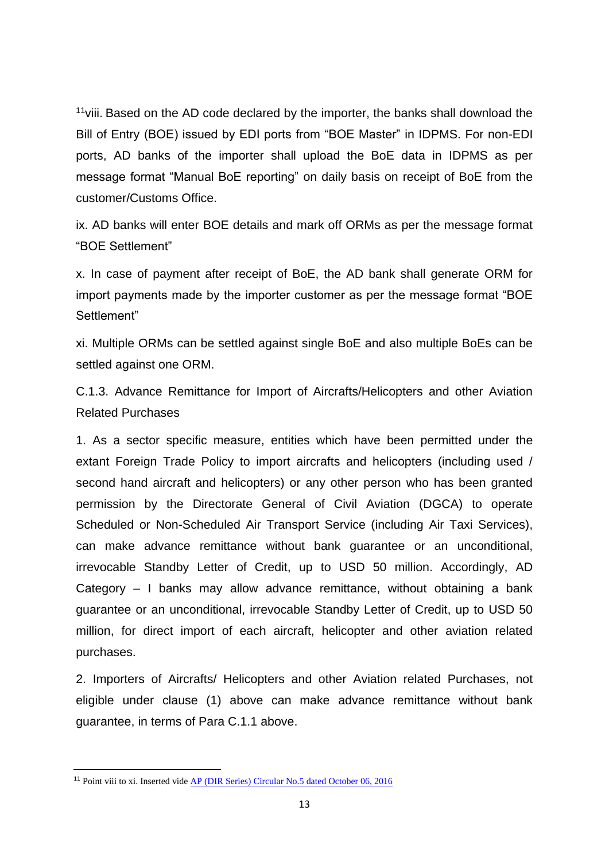$11$ viii. Based on the AD code declared by the importer, the banks shall download the Bill of Entry (BOE) issued by EDI ports from "BOE Master" in IDPMS. For non-EDI ports, AD banks of the importer shall upload the BoE data in IDPMS as per message format "Manual BoE reporting" on daily basis on receipt of BoE from the customer/Customs Office.

ix. AD banks will enter BOE details and mark off ORMs as per the message format "BOE Settlement"

x. In case of payment after receipt of BoE, the AD bank shall generate ORM for import payments made by the importer customer as per the message format "BOE Settlement"

xi. Multiple ORMs can be settled against single BoE and also multiple BoEs can be settled against one ORM.

C.1.3. Advance Remittance for Import of Aircrafts/Helicopters and other Aviation Related Purchases

1. As a sector specific measure, entities which have been permitted under the extant Foreign Trade Policy to import aircrafts and helicopters (including used / second hand aircraft and helicopters) or any other person who has been granted permission by the Directorate General of Civil Aviation (DGCA) to operate Scheduled or Non-Scheduled Air Transport Service (including Air Taxi Services), can make advance remittance without bank guarantee or an unconditional, irrevocable Standby Letter of Credit, up to USD 50 million. Accordingly, AD Category – I banks may allow advance remittance, without obtaining a bank guarantee or an unconditional, irrevocable Standby Letter of Credit, up to USD 50 million, for direct import of each aircraft, helicopter and other aviation related purchases.

2. Importers of Aircrafts/ Helicopters and other Aviation related Purchases, not eligible under clause (1) above can make advance remittance without bank guarantee, in terms of Para C.1.1 above.

<sup>&</sup>lt;sup>11</sup> Point viii to xi. Inserted vide [AP \(DIR Series\) Circular No.5 dated October 06, 2016](https://rbi.org.in/Scripts/NotificationUser.aspx?Id=10633&Mode=0)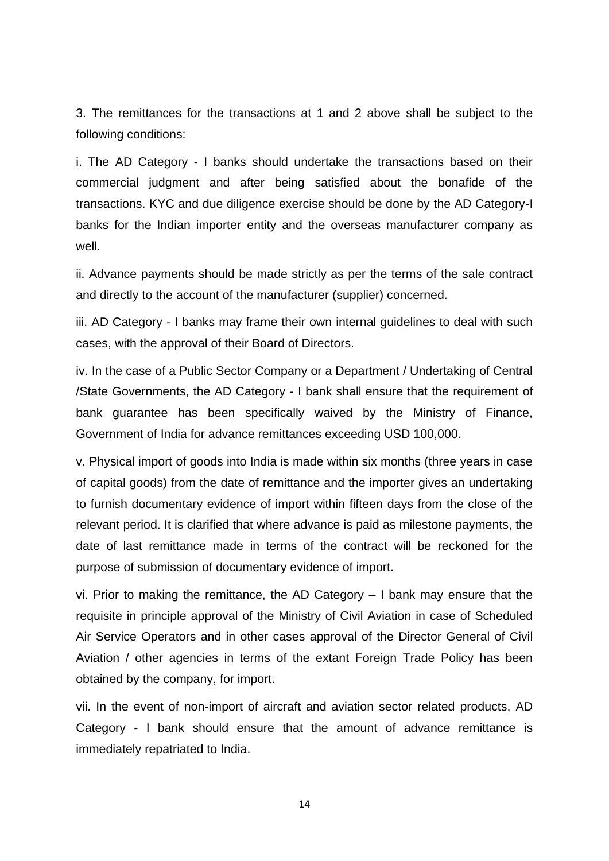3. The remittances for the transactions at 1 and 2 above shall be subject to the following conditions:

i. The AD Category - I banks should undertake the transactions based on their commercial judgment and after being satisfied about the bonafide of the transactions. KYC and due diligence exercise should be done by the AD Category-I banks for the Indian importer entity and the overseas manufacturer company as well.

ii. Advance payments should be made strictly as per the terms of the sale contract and directly to the account of the manufacturer (supplier) concerned.

iii. AD Category - I banks may frame their own internal guidelines to deal with such cases, with the approval of their Board of Directors.

iv. In the case of a Public Sector Company or a Department / Undertaking of Central /State Governments, the AD Category - I bank shall ensure that the requirement of bank guarantee has been specifically waived by the Ministry of Finance, Government of India for advance remittances exceeding USD 100,000.

v. Physical import of goods into India is made within six months (three years in case of capital goods) from the date of remittance and the importer gives an undertaking to furnish documentary evidence of import within fifteen days from the close of the relevant period. It is clarified that where advance is paid as milestone payments, the date of last remittance made in terms of the contract will be reckoned for the purpose of submission of documentary evidence of import.

vi. Prior to making the remittance, the AD Category – I bank may ensure that the requisite in principle approval of the Ministry of Civil Aviation in case of Scheduled Air Service Operators and in other cases approval of the Director General of Civil Aviation / other agencies in terms of the extant Foreign Trade Policy has been obtained by the company, for import.

vii. In the event of non-import of aircraft and aviation sector related products, AD Category - I bank should ensure that the amount of advance remittance is immediately repatriated to India.

14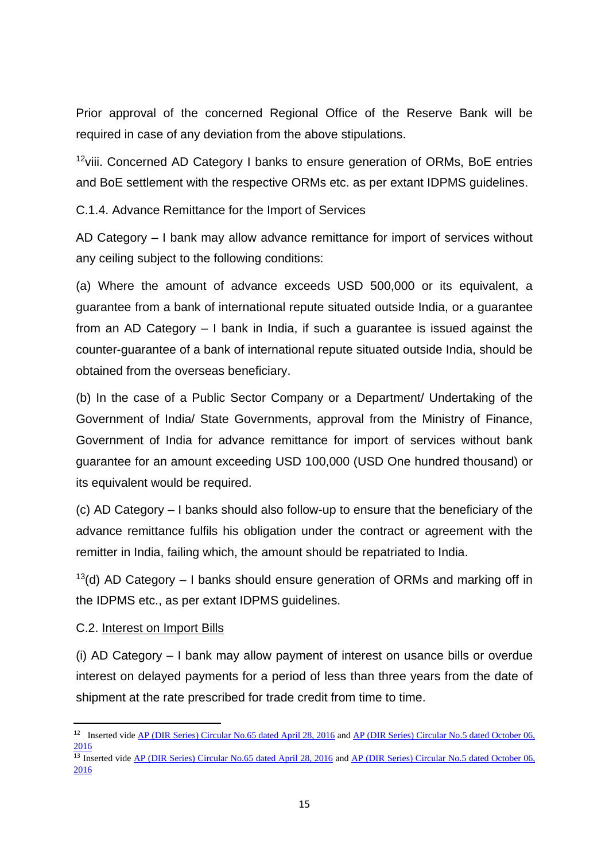Prior approval of the concerned Regional Office of the Reserve Bank will be required in case of any deviation from the above stipulations.

<sup>12</sup>viii. Concerned AD Category I banks to ensure generation of ORMs, BoE entries and BoE settlement with the respective ORMs etc. as per extant IDPMS guidelines.

C.1.4. Advance Remittance for the Import of Services

AD Category – I bank may allow advance remittance for import of services without any ceiling subject to the following conditions:

(a) Where the amount of advance exceeds USD 500,000 or its equivalent, a guarantee from a bank of international repute situated outside India, or a guarantee from an AD Category – I bank in India, if such a guarantee is issued against the counter-guarantee of a bank of international repute situated outside India, should be obtained from the overseas beneficiary.

(b) In the case of a Public Sector Company or a Department/ Undertaking of the Government of India/ State Governments, approval from the Ministry of Finance, Government of India for advance remittance for import of services without bank guarantee for an amount exceeding USD 100,000 (USD One hundred thousand) or its equivalent would be required.

(c) AD Category – I banks should also follow-up to ensure that the beneficiary of the advance remittance fulfils his obligation under the contract or agreement with the remitter in India, failing which, the amount should be repatriated to India.

 $13$ (d) AD Category – I banks should ensure generation of ORMs and marking off in the IDPMS etc., as per extant IDPMS guidelines.

#### C.2. Interest on Import Bills

**.** 

(i) AD Category – I bank may allow payment of interest on usance bills or overdue interest on delayed payments for a period of less than three years from the date of shipment at the rate prescribed for trade credit from time to time.

<sup>&</sup>lt;sup>12</sup> Inserted vid[e AP \(DIR Series\) Circular No.65 dated April 28, 2016](https://rbi.org.in/Scripts/NotificationUser.aspx?Id=10372&Mode=0) and AP (DIR Series) Circular No.5 dated October 06, [2016](https://rbi.org.in/Scripts/NotificationUser.aspx?Id=10633&Mode=0)

<sup>&</sup>lt;sup>13</sup> Inserted vid[e AP \(DIR Series\) Circular No.65 dated April 28, 2016](https://rbi.org.in/Scripts/NotificationUser.aspx?Id=10372&Mode=0) and <u>AP (DIR Series) Circular No.5 dated October 06,</u> [2016](https://rbi.org.in/Scripts/NotificationUser.aspx?Id=10633&Mode=0)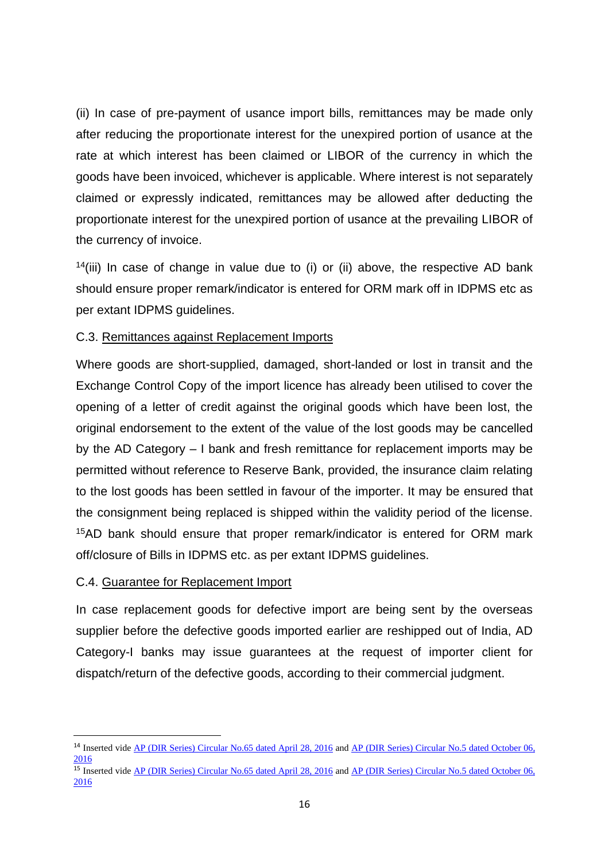(ii) In case of pre-payment of usance import bills, remittances may be made only after reducing the proportionate interest for the unexpired portion of usance at the rate at which interest has been claimed or LIBOR of the currency in which the goods have been invoiced, whichever is applicable. Where interest is not separately claimed or expressly indicated, remittances may be allowed after deducting the proportionate interest for the unexpired portion of usance at the prevailing LIBOR of the currency of invoice.

 $14(iii)$  In case of change in value due to (i) or (ii) above, the respective AD bank should ensure proper remark/indicator is entered for ORM mark off in IDPMS etc as per extant IDPMS guidelines.

#### C.3. Remittances against Replacement Imports

Where goods are short-supplied, damaged, short-landed or lost in transit and the Exchange Control Copy of the import licence has already been utilised to cover the opening of a letter of credit against the original goods which have been lost, the original endorsement to the extent of the value of the lost goods may be cancelled by the AD Category – I bank and fresh remittance for replacement imports may be permitted without reference to Reserve Bank, provided, the insurance claim relating to the lost goods has been settled in favour of the importer. It may be ensured that the consignment being replaced is shipped within the validity period of the license. <sup>15</sup>AD bank should ensure that proper remark/indicator is entered for ORM mark off/closure of Bills in IDPMS etc. as per extant IDPMS guidelines.

#### C.4. Guarantee for Replacement Import

1

In case replacement goods for defective import are being sent by the overseas supplier before the defective goods imported earlier are reshipped out of India, AD Category-I banks may issue guarantees at the request of importer client for dispatch/return of the defective goods, according to their commercial judgment.

<sup>&</sup>lt;sup>14</sup> Inserted vide <u>AP (DIR Series) Circular No.65 dated April 28, 2016</u> and <u>AP (DIR Series) Circular No.5 dated October 06,</u> [2016](https://rbi.org.in/Scripts/NotificationUser.aspx?Id=10633&Mode=0)

<sup>&</sup>lt;sup>15</sup> Inserted vid[e AP \(DIR Series\) Circular No.65 dated April 28, 2016](https://rbi.org.in/Scripts/NotificationUser.aspx?Id=10372&Mode=0) and AP (DIR Series) Circular No.5 dated October 06, [2016](https://rbi.org.in/Scripts/NotificationUser.aspx?Id=10633&Mode=0)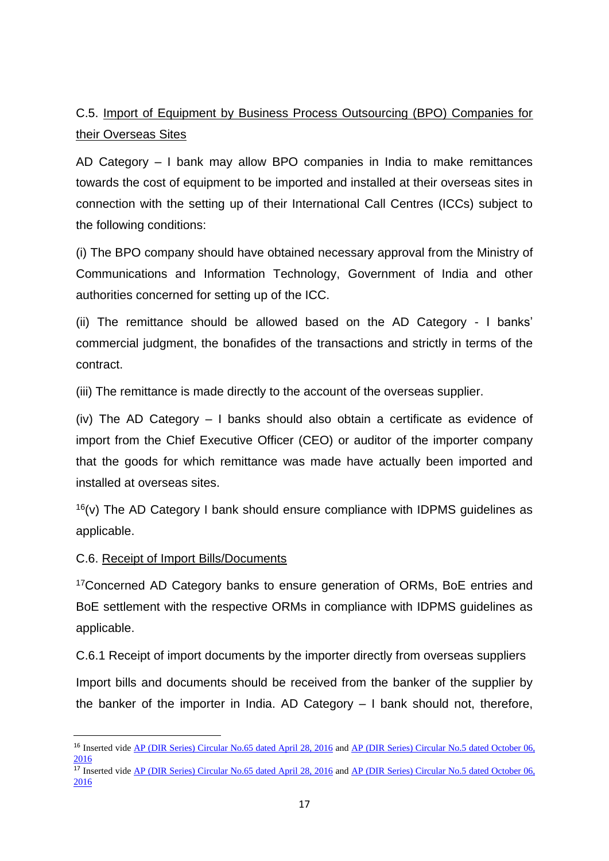C.5. Import of Equipment by Business Process Outsourcing (BPO) Companies for their Overseas Sites

AD Category – I bank may allow BPO companies in India to make remittances towards the cost of equipment to be imported and installed at their overseas sites in connection with the setting up of their International Call Centres (ICCs) subject to the following conditions:

(i) The BPO company should have obtained necessary approval from the Ministry of Communications and Information Technology, Government of India and other authorities concerned for setting up of the ICC.

(ii) The remittance should be allowed based on the AD Category - I banks' commercial judgment, the bonafides of the transactions and strictly in terms of the contract.

(iii) The remittance is made directly to the account of the overseas supplier.

(iv) The AD Category – I banks should also obtain a certificate as evidence of import from the Chief Executive Officer (CEO) or auditor of the importer company that the goods for which remittance was made have actually been imported and installed at overseas sites.

 $16(v)$  The AD Category I bank should ensure compliance with IDPMS guidelines as applicable.

#### C.6. Receipt of Import Bills/Documents

1

<sup>17</sup>Concerned AD Category banks to ensure generation of ORMs, BoE entries and BoE settlement with the respective ORMs in compliance with IDPMS guidelines as applicable.

C.6.1 Receipt of import documents by the importer directly from overseas suppliers

Import bills and documents should be received from the banker of the supplier by the banker of the importer in India. AD Category – I bank should not, therefore,

<sup>&</sup>lt;sup>16</sup> Inserted vide <u>AP (DIR Series) Circular No.65 dated April 28, 2016</u> and <u>AP (DIR Series) Circular No.5 dated October 06,</u> [2016](https://rbi.org.in/Scripts/NotificationUser.aspx?Id=10633&Mode=0)

<sup>&</sup>lt;sup>17</sup> Inserted vide <u>AP (DIR Series) Circular No.65 dated April 28, 2016</u> and <u>AP (DIR Series) Circular No.5 dated October 06,</u> [2016](https://rbi.org.in/Scripts/NotificationUser.aspx?Id=10633&Mode=0)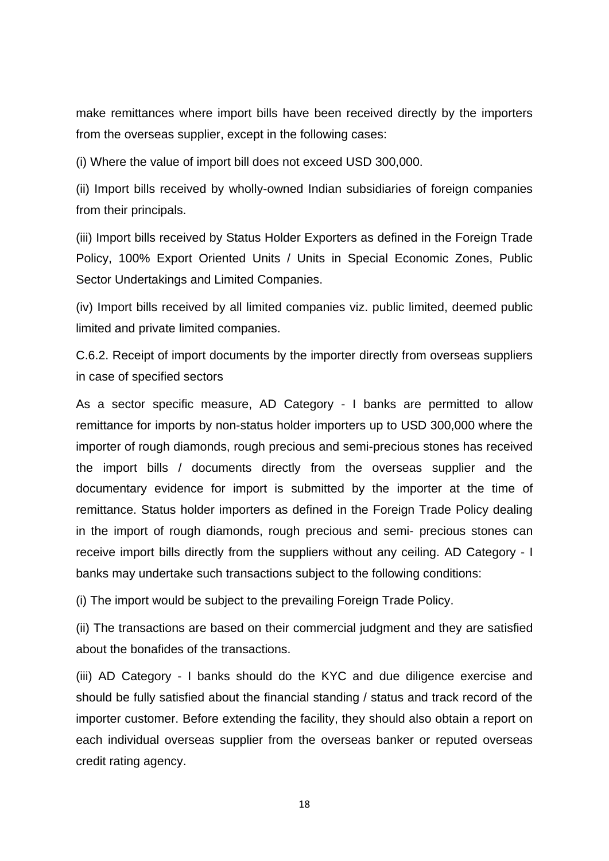make remittances where import bills have been received directly by the importers from the overseas supplier, except in the following cases:

(i) Where the value of import bill does not exceed USD 300,000.

(ii) Import bills received by wholly-owned Indian subsidiaries of foreign companies from their principals.

(iii) Import bills received by Status Holder Exporters as defined in the Foreign Trade Policy, 100% Export Oriented Units / Units in Special Economic Zones, Public Sector Undertakings and Limited Companies.

(iv) Import bills received by all limited companies viz. public limited, deemed public limited and private limited companies.

C.6.2. Receipt of import documents by the importer directly from overseas suppliers in case of specified sectors

As a sector specific measure, AD Category - I banks are permitted to allow remittance for imports by non-status holder importers up to USD 300,000 where the importer of rough diamonds, rough precious and semi-precious stones has received the import bills / documents directly from the overseas supplier and the documentary evidence for import is submitted by the importer at the time of remittance. Status holder importers as defined in the Foreign Trade Policy dealing in the import of rough diamonds, rough precious and semi- precious stones can receive import bills directly from the suppliers without any ceiling. AD Category - I banks may undertake such transactions subject to the following conditions:

(i) The import would be subject to the prevailing Foreign Trade Policy.

(ii) The transactions are based on their commercial judgment and they are satisfied about the bonafides of the transactions.

(iii) AD Category - I banks should do the KYC and due diligence exercise and should be fully satisfied about the financial standing / status and track record of the importer customer. Before extending the facility, they should also obtain a report on each individual overseas supplier from the overseas banker or reputed overseas credit rating agency.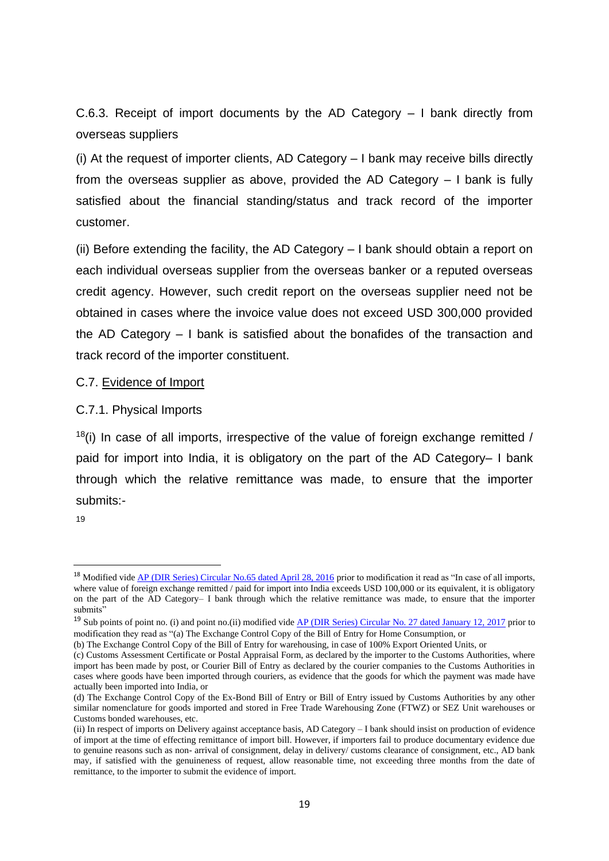C.6.3. Receipt of import documents by the AD Category – I bank directly from overseas suppliers

(i) At the request of importer clients, AD Category – I bank may receive bills directly from the overseas supplier as above, provided the AD Category – I bank is fully satisfied about the financial standing/status and track record of the importer customer.

(ii) Before extending the facility, the AD Category – I bank should obtain a report on each individual overseas supplier from the overseas banker or a reputed overseas credit agency. However, such credit report on the overseas supplier need not be obtained in cases where the invoice value does not exceed USD 300,000 provided the AD Category – I bank is satisfied about the bonafides of the transaction and track record of the importer constituent.

#### C.7. Evidence of Import

#### C.7.1. Physical Imports

 $18(i)$  In case of all imports, irrespective of the value of foreign exchange remitted / paid for import into India, it is obligatory on the part of the AD Category– I bank through which the relative remittance was made, to ensure that the importer submits:-

19

1

<sup>&</sup>lt;sup>18</sup> Modified vid[e AP \(DIR Series\) Circular No.65 dated April 28, 2016](https://rbi.org.in/Scripts/NotificationUser.aspx?Id=10372&Mode=0) prior to modification it read as "In case of all imports, where value of foreign exchange remitted / paid for import into India exceeds USD 100,000 or its equivalent, it is obligatory on the part of the AD Category– I bank through which the relative remittance was made, to ensure that the importer submits'

<sup>&</sup>lt;sup>19</sup> Sub points of point no. (i) and point no. (ii) modified vide <u>AP (DIR Series) Circular No. 27 dated January 12, 2017</u> prior to modification they read as "(a) The Exchange Control Copy of the Bill of Entry for Home Consumption, or

<sup>(</sup>b) The Exchange Control Copy of the Bill of Entry for warehousing, in case of 100% Export Oriented Units, or

<sup>(</sup>c) Customs Assessment Certificate or Postal Appraisal Form, as declared by the importer to the Customs Authorities, where import has been made by post, or Courier Bill of Entry as declared by the courier companies to the Customs Authorities in cases where goods have been imported through couriers, as evidence that the goods for which the payment was made have actually been imported into India, or

<sup>(</sup>d) The Exchange Control Copy of the Ex-Bond Bill of Entry or Bill of Entry issued by Customs Authorities by any other similar nomenclature for goods imported and stored in Free Trade Warehousing Zone (FTWZ) or SEZ Unit warehouses or Customs bonded warehouses, etc.

<sup>(</sup>ii) In respect of imports on Delivery against acceptance basis, AD Category – I bank should insist on production of evidence of import at the time of effecting remittance of import bill. However, if importers fail to produce documentary evidence due to genuine reasons such as non- arrival of consignment, delay in delivery/ customs clearance of consignment, etc., AD bank may, if satisfied with the genuineness of request, allow reasonable time, not exceeding three months from the date of remittance, to the importer to submit the evidence of import.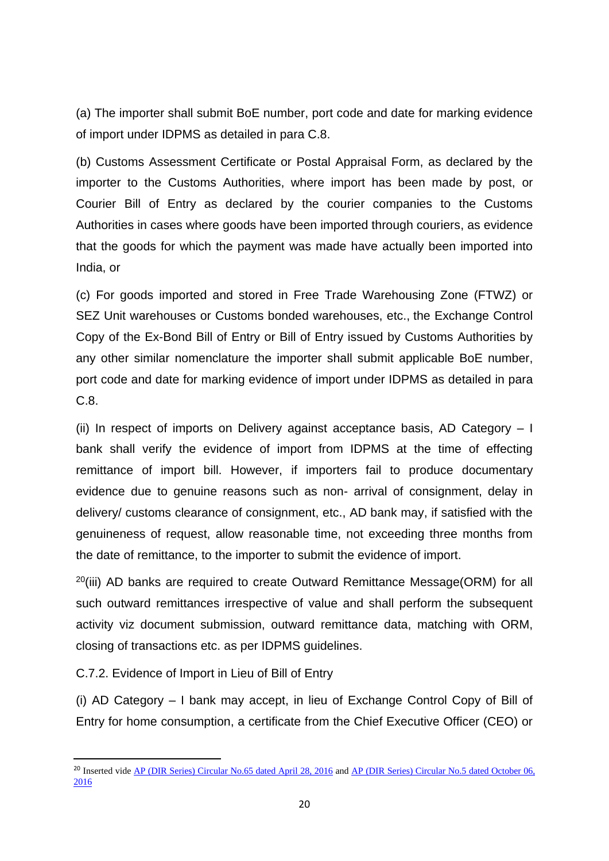(a) The importer shall submit BoE number, port code and date for marking evidence of import under IDPMS as detailed in para C.8.

(b) Customs Assessment Certificate or Postal Appraisal Form, as declared by the importer to the Customs Authorities, where import has been made by post, or Courier Bill of Entry as declared by the courier companies to the Customs Authorities in cases where goods have been imported through couriers, as evidence that the goods for which the payment was made have actually been imported into India, or

(c) For goods imported and stored in Free Trade Warehousing Zone (FTWZ) or SEZ Unit warehouses or Customs bonded warehouses, etc., the Exchange Control Copy of the Ex-Bond Bill of Entry or Bill of Entry issued by Customs Authorities by any other similar nomenclature the importer shall submit applicable BoE number, port code and date for marking evidence of import under IDPMS as detailed in para C.8.

(ii) In respect of imports on Delivery against acceptance basis, AD Category  $-1$ bank shall verify the evidence of import from IDPMS at the time of effecting remittance of import bill. However, if importers fail to produce documentary evidence due to genuine reasons such as non- arrival of consignment, delay in delivery/ customs clearance of consignment, etc., AD bank may, if satisfied with the genuineness of request, allow reasonable time, not exceeding three months from the date of remittance, to the importer to submit the evidence of import.

 $^{20}$ (iii) AD banks are required to create Outward Remittance Message(ORM) for all such outward remittances irrespective of value and shall perform the subsequent activity viz document submission, outward remittance data, matching with ORM, closing of transactions etc. as per IDPMS guidelines.

C.7.2. Evidence of Import in Lieu of Bill of Entry

1

(i) AD Category – I bank may accept, in lieu of Exchange Control Copy of Bill of Entry for home consumption, a certificate from the Chief Executive Officer (CEO) or

<sup>&</sup>lt;sup>20</sup> Inserted vide <u>AP (DIR Series) Circular No.65 dated April 28, 2016</u> and <u>AP (DIR Series) Circular No.5 dated October 06,</u> [2016](https://rbi.org.in/Scripts/NotificationUser.aspx?Id=10633&Mode=0)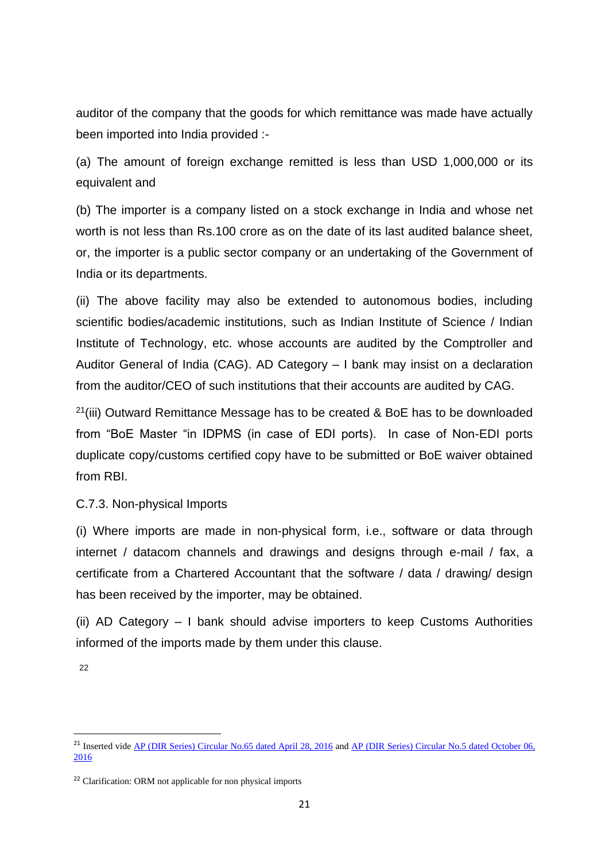auditor of the company that the goods for which remittance was made have actually been imported into India provided :-

(a) The amount of foreign exchange remitted is less than USD 1,000,000 or its equivalent and

(b) The importer is a company listed on a stock exchange in India and whose net worth is not less than Rs.100 crore as on the date of its last audited balance sheet, or, the importer is a public sector company or an undertaking of the Government of India or its departments.

(ii) The above facility may also be extended to autonomous bodies, including scientific bodies/academic institutions, such as Indian Institute of Science / Indian Institute of Technology, etc. whose accounts are audited by the Comptroller and Auditor General of India (CAG). AD Category – I bank may insist on a declaration from the auditor/CEO of such institutions that their accounts are audited by CAG.

 $21(iii)$  Outward Remittance Message has to be created & BoE has to be downloaded from "BoE Master "in IDPMS (in case of EDI ports). In case of Non-EDI ports duplicate copy/customs certified copy have to be submitted or BoE waiver obtained from RBI.

C.7.3. Non-physical Imports

(i) Where imports are made in non-physical form, i.e., software or data through internet / datacom channels and drawings and designs through e-mail / fax, a certificate from a Chartered Accountant that the software / data / drawing/ design has been received by the importer, may be obtained.

(ii) AD Category – I bank should advise importers to keep Customs Authorities informed of the imports made by them under this clause.

22

1

<sup>&</sup>lt;sup>21</sup> Inserted vid[e AP \(DIR Series\) Circular No.65 dated April 28, 2016](https://rbi.org.in/Scripts/NotificationUser.aspx?Id=10372&Mode=0) and AP (DIR Series) Circular No.5 dated October 06, [2016](https://rbi.org.in/Scripts/NotificationUser.aspx?Id=10633&Mode=0)

<sup>&</sup>lt;sup>22</sup> Clarification: ORM not applicable for non physical imports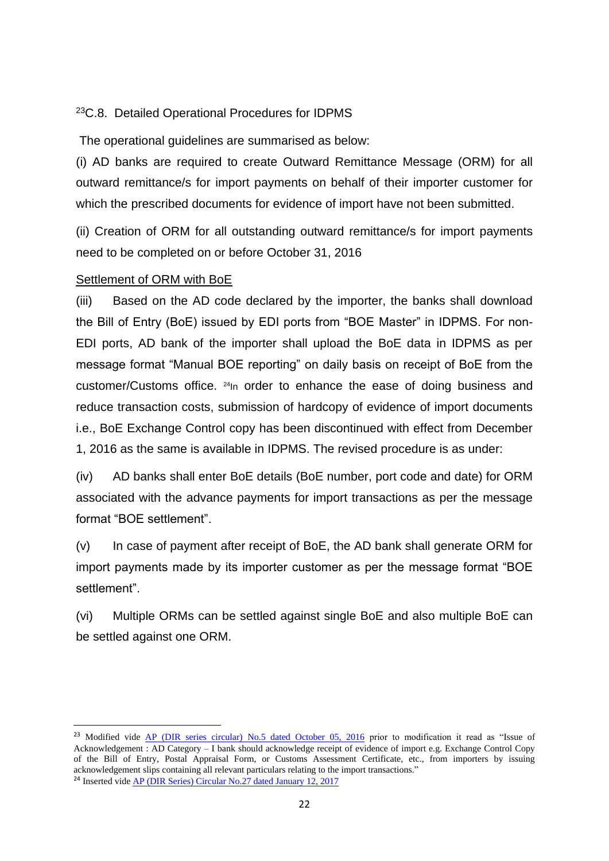#### <sup>23</sup>C.8. Detailed Operational Procedures for IDPMS

The operational guidelines are summarised as below:

(i) AD banks are required to create Outward Remittance Message (ORM) for all outward remittance/s for import payments on behalf of their importer customer for which the prescribed documents for evidence of import have not been submitted.

(ii) Creation of ORM for all outstanding outward remittance/s for import payments need to be completed on or before October 31, 2016

#### Settlement of ORM with BoE

**.** 

(iii) Based on the AD code declared by the importer, the banks shall download the Bill of Entry (BoE) issued by EDI ports from "BOE Master" in IDPMS. For non-EDI ports, AD bank of the importer shall upload the BoE data in IDPMS as per message format "Manual BOE reporting" on daily basis on receipt of BoE from the customer/Customs office. <sup>24</sup>In order to enhance the ease of doing business and reduce transaction costs, submission of hardcopy of evidence of import documents i.e., BoE Exchange Control copy has been discontinued with effect from December 1, 2016 as the same is available in IDPMS. The revised procedure is as under:

(iv) AD banks shall enter BoE details (BoE number, port code and date) for ORM associated with the advance payments for import transactions as per the message format "BOE settlement".

(v) In case of payment after receipt of BoE, the AD bank shall generate ORM for import payments made by its importer customer as per the message format "BOE settlement".

(vi) Multiple ORMs can be settled against single BoE and also multiple BoE can be settled against one ORM.

<sup>&</sup>lt;sup>23</sup> Modified vide [AP \(DIR series circular\) No.5 dated October 05, 2016](https://rbi.org.in/Scripts/NotificationUser.aspx?Id=10633&Mode=0) prior to modification it read as "Issue of Acknowledgement : AD Category – I bank should acknowledge receipt of evidence of import e.g. Exchange Control Copy of the Bill of Entry, Postal Appraisal Form, or Customs Assessment Certificate, etc., from importers by issuing acknowledgement slips containing all relevant particulars relating to the import transactions." <sup>24</sup> Inserted vide [AP \(DIR Series\) Circular No.27 dated January 12, 2017](https://www.rbi.org.in/Scripts/NotificationUser.aspx?Id=10824&Mode=0)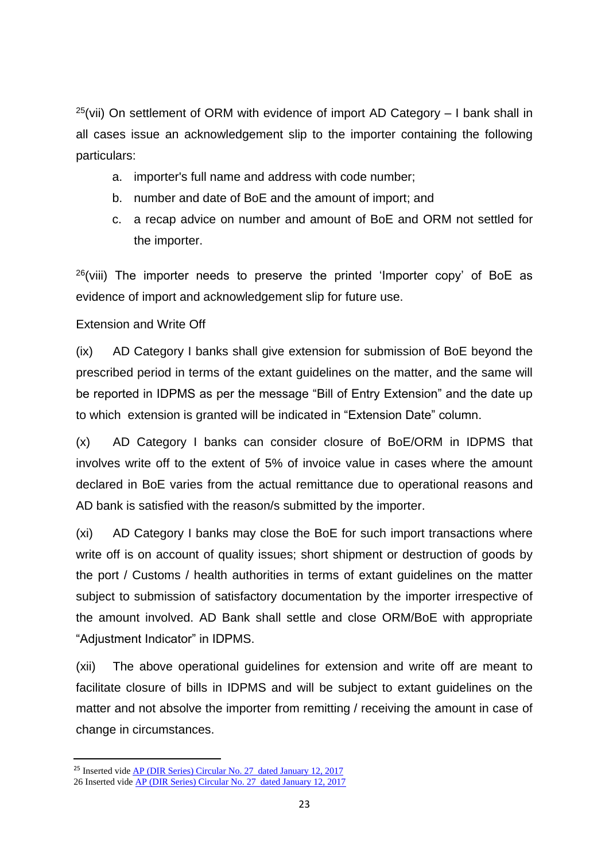$25$ (vii) On settlement of ORM with evidence of import AD Category  $-1$  bank shall in all cases issue an acknowledgement slip to the importer containing the following particulars:

- a. importer's full name and address with code number;
- b. number and date of BoE and the amount of import; and
- c. a recap advice on number and amount of BoE and ORM not settled for the importer.

 $26$ (viii) The importer needs to preserve the printed 'Importer copy' of BoE as evidence of import and acknowledgement slip for future use.

#### Extension and Write Off

(ix) AD Category I banks shall give extension for submission of BoE beyond the prescribed period in terms of the extant guidelines on the matter, and the same will be reported in IDPMS as per the message "Bill of Entry Extension" and the date up to which extension is granted will be indicated in "Extension Date" column.

(x) AD Category I banks can consider closure of BoE/ORM in IDPMS that involves write off to the extent of 5% of invoice value in cases where the amount declared in BoE varies from the actual remittance due to operational reasons and AD bank is satisfied with the reason/s submitted by the importer.

(xi) AD Category I banks may close the BoE for such import transactions where write off is on account of quality issues; short shipment or destruction of goods by the port / Customs / health authorities in terms of extant guidelines on the matter subject to submission of satisfactory documentation by the importer irrespective of the amount involved. AD Bank shall settle and close ORM/BoE with appropriate "Adjustment Indicator" in IDPMS.

(xii) The above operational guidelines for extension and write off are meant to facilitate closure of bills in IDPMS and will be subject to extant guidelines on the matter and not absolve the importer from remitting / receiving the amount in case of change in circumstances.

1

<sup>&</sup>lt;sup>25</sup> Inserted vide **AP** (DIR Series) Circular No. 27 dated January 12, 2017 26 Inserted vide [AP \(DIR Series\) Circular No. 27 dated January 12, 2017](https://www.rbi.org.in/Scripts/NotificationUser.aspx?Id=10824&Mode=0)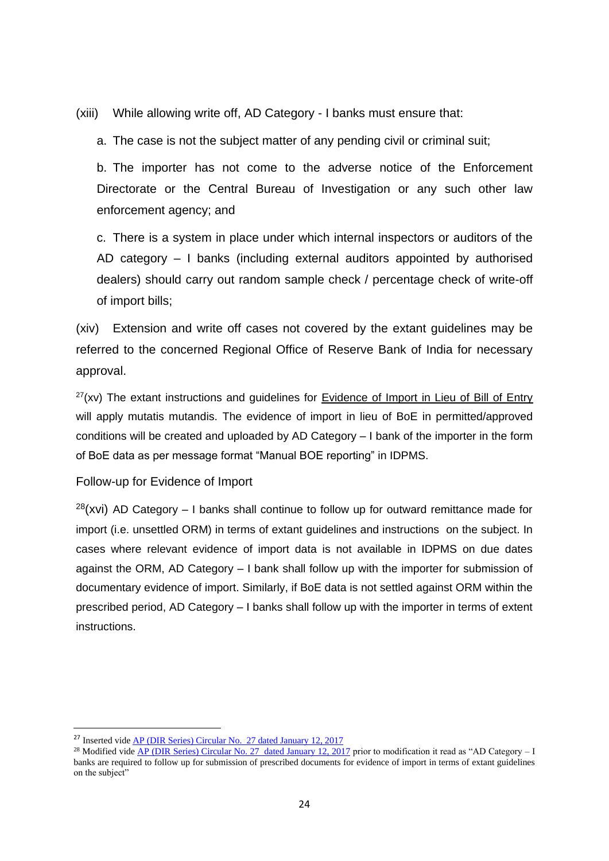(xiii) While allowing write off, AD Category - I banks must ensure that:

a. The case is not the subject matter of any pending civil or criminal suit;

b. The importer has not come to the adverse notice of the Enforcement Directorate or the Central Bureau of Investigation or any such other law enforcement agency; and

c. There is a system in place under which internal inspectors or auditors of the AD category – I banks (including external auditors appointed by authorised dealers) should carry out random sample check / percentage check of write-off of import bills;

(xiv) Extension and write off cases not covered by the extant guidelines may be referred to the concerned Regional Office of Reserve Bank of India for necessary approval.

 $27(xv)$  The extant instructions and guidelines for Evidence of Import in Lieu of Bill of Entry will apply mutatis mutandis. The evidence of import in lieu of BoE in permitted/approved conditions will be created and uploaded by AD Category – I bank of the importer in the form of BoE data as per message format "Manual BOE reporting" in IDPMS.

#### Follow-up for Evidence of Import

 $28$ (xvi) AD Category – I banks shall continue to follow up for outward remittance made for import (i.e. unsettled ORM) in terms of extant guidelines and instructions on the subject. In cases where relevant evidence of import data is not available in IDPMS on due dates against the ORM, AD Category – I bank shall follow up with the importer for submission of documentary evidence of import. Similarly, if BoE data is not settled against ORM within the prescribed period, AD Category – I banks shall follow up with the importer in terms of extent instructions.

<sup>27</sup> Inserted vide [AP \(DIR Series\) Circular No. 27 dated January 12, 2017](https://www.rbi.org.in/Scripts/NotificationUser.aspx?Id=10824&Mode=0)

<sup>&</sup>lt;sup>28</sup> Modified vide [AP \(DIR Series\) Circular No. 27 dated January 12, 2017](https://www.rbi.org.in/Scripts/NotificationUser.aspx?Id=10824&Mode=0) prior to modification it read as "AD Category – I banks are required to follow up for submission of prescribed documents for evidence of import in terms of extant guidelines on the subject"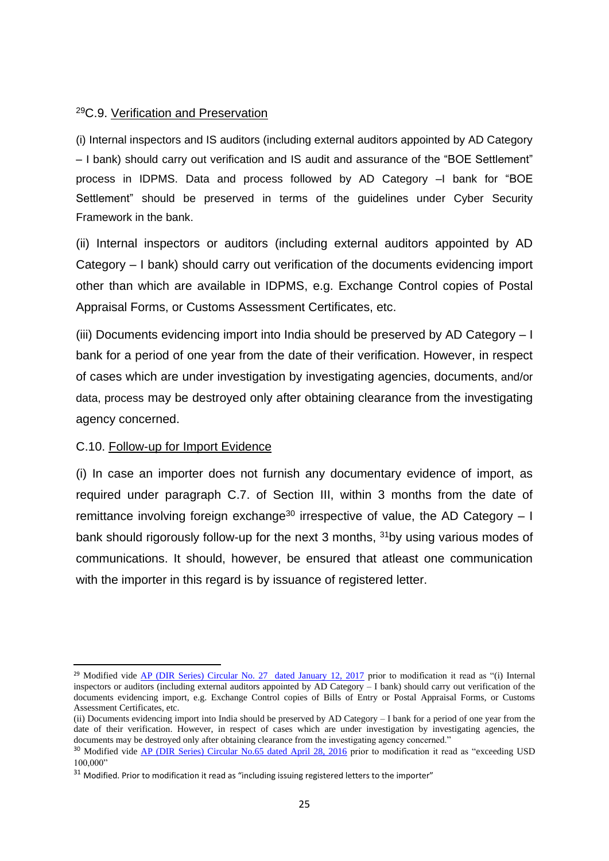#### <sup>29</sup>C.9. Verification and Preservation

(i) Internal inspectors and IS auditors (including external auditors appointed by AD Category – I bank) should carry out verification and IS audit and assurance of the "BOE Settlement" process in IDPMS. Data and process followed by AD Category –I bank for "BOE Settlement" should be preserved in terms of the guidelines under Cyber Security Framework in the bank.

(ii) Internal inspectors or auditors (including external auditors appointed by AD Category – I bank) should carry out verification of the documents evidencing import other than which are available in IDPMS, e.g. Exchange Control copies of Postal Appraisal Forms, or Customs Assessment Certificates, etc.

(iii) Documents evidencing import into India should be preserved by AD Category – I bank for a period of one year from the date of their verification. However, in respect of cases which are under investigation by investigating agencies, documents, and/or data, process may be destroyed only after obtaining clearance from the investigating agency concerned.

#### C.10. Follow-up for Import Evidence

**.** 

(i) In case an importer does not furnish any documentary evidence of import, as required under paragraph C.7. of Section III, within 3 months from the date of remittance involving foreign exchange<sup>30</sup> irrespective of value, the AD Category  $-1$ bank should rigorously follow-up for the next 3 months, <sup>31</sup>by using various modes of communications. It should, however, be ensured that atleast one communication with the importer in this regard is by issuance of registered letter.

<sup>&</sup>lt;sup>29</sup> Modified vide [AP \(DIR Series\) Circular No. 27 dated January 12, 2017](https://www.rbi.org.in/Scripts/NotificationUser.aspx?Id=10824&Mode=0) prior to modification it read as "(i) Internal inspectors or auditors (including external auditors appointed by AD Category – I bank) should carry out verification of the documents evidencing import, e.g. Exchange Control copies of Bills of Entry or Postal Appraisal Forms, or Customs Assessment Certificates, etc.

<sup>(</sup>ii) Documents evidencing import into India should be preserved by AD Category – I bank for a period of one year from the date of their verification. However, in respect of cases which are under investigation by investigating agencies, the documents may be destroyed only after obtaining clearance from the investigating agency concerned."

<sup>&</sup>lt;sup>30</sup> Modified vide [AP \(DIR Series\) Circular No.65 dated April 28, 2016](https://rbi.org.in/Scripts/NotificationUser.aspx?Id=10372&Mode=0) prior to modification it read as "exceeding USD 100,000"

 $31$  Modified. Prior to modification it read as "including issuing registered letters to the importer"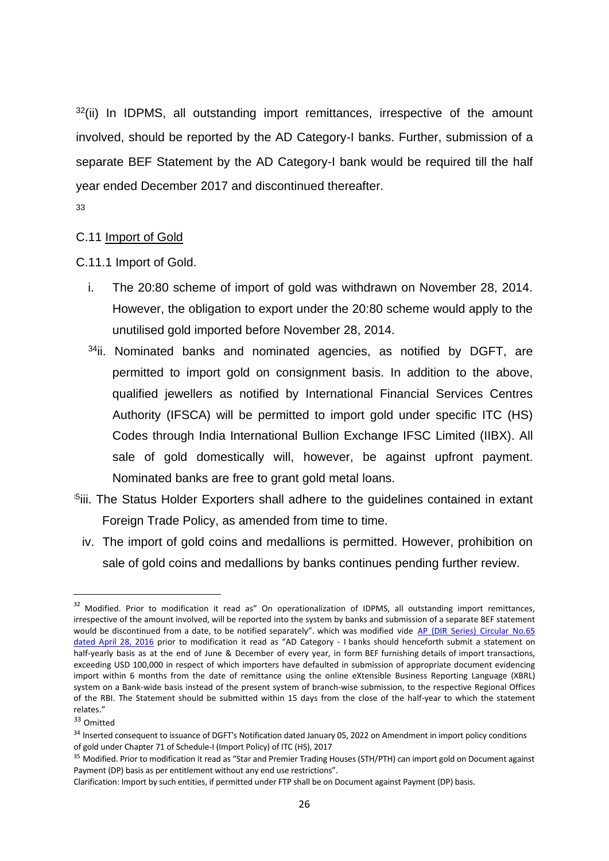$32$ (ii) In IDPMS, all outstanding import remittances, irrespective of the amount involved, should be reported by the AD Category-I banks. Further, submission of a separate BEF Statement by the AD Category-I bank would be required till the half year ended December 2017 and discontinued thereafter.

#### 33

#### C.11 Import of Gold

C.11.1 Import of Gold.

- i. The 20:80 scheme of import of gold was withdrawn on November 28, 2014. However, the obligation to export under the 20:80 scheme would apply to the unutilised gold imported before November 28, 2014.
- <sup>34</sup>ii. Nominated banks and nominated agencies, as notified by DGFT, are permitted to import gold on consignment basis. In addition to the above, qualified jewellers as notified by International Financial Services Centres Authority (IFSCA) will be permitted to import gold under specific ITC (HS) Codes through India International Bullion Exchange IFSC Limited (IIBX). All sale of gold domestically will, however, be against upfront payment. Nominated banks are free to grant gold metal loans.
- <sup>5</sup>iii. The Status Holder Exporters shall adhere to the quidelines contained in extant Foreign Trade Policy, as amended from time to time.
	- iv. The import of gold coins and medallions is permitted. However, prohibition on sale of gold coins and medallions by banks continues pending further review.

<sup>&</sup>lt;sup>32</sup> Modified. Prior to modification it read as" On operationalization of IDPMS, all outstanding import remittances, irrespective of the amount involved, will be reported into the system by banks and submission of a separate BEF statement would be discontinued from a date, to be notified separately". which was modified vide AP (DIR Series) [Circular](https://rbi.org.in/Scripts/NotificationUser.aspx?Id=10372&Mode=0) No.65 [dated](https://rbi.org.in/Scripts/NotificationUser.aspx?Id=10372&Mode=0) April 28, 2016 prior to modification it read as "AD Category - I banks should henceforth submit a statement on half-yearly basis as at the end of June & December of every year, in form BEF furnishing details of import transactions, exceeding USD 100,000 in respect of which importers have defaulted in submission of appropriate document evidencing import within 6 months from the date of remittance using the online eXtensible Business Reporting Language (XBRL) system on a Bank-wide basis instead of the present system of branch-wise submission, to the respective Regional Offices of the RBI. The Statement should be submitted within 15 days from the close of the half-year to which the statement relates."

<sup>33</sup> Omitted

<sup>&</sup>lt;sup>34</sup> Inserted consequent to issuance of DGFT's Notification dated January 05, 2022 on Amendment in import policy conditions of gold under Chapter 71 of Schedule-I (Import Policy) of ITC (HS), 2017

<sup>&</sup>lt;sup>35</sup> Modified. Prior to modification it read as "Star and Premier Trading Houses (STH/PTH) can import gold on Document against Payment (DP) basis as per entitlement without any end use restrictions".

Clarification: Import by such entities, if permitted under FTP shall be on Document against Payment (DP) basis.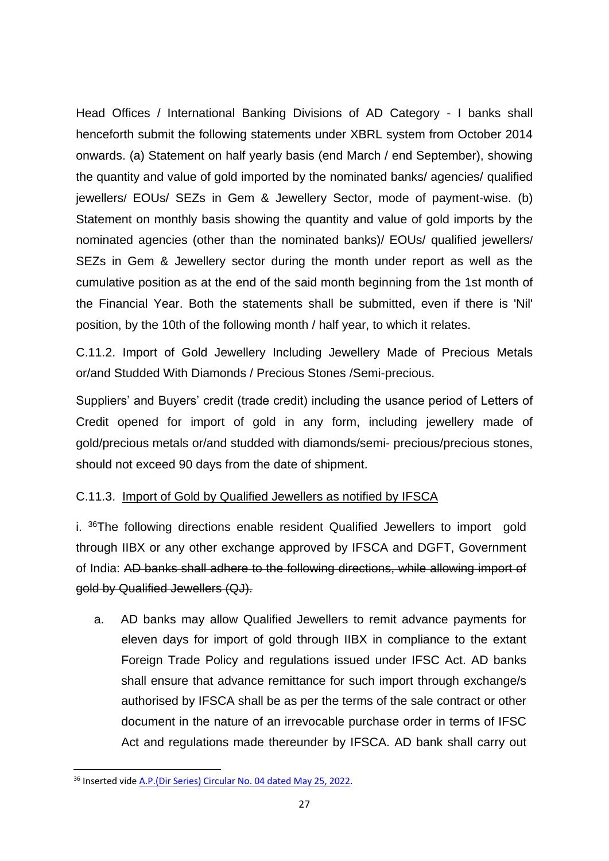Head Offices / International Banking Divisions of AD Category - I banks shall henceforth submit the following statements under XBRL system from October 2014 onwards. (a) Statement on half yearly basis (end March / end September), showing the quantity and value of gold imported by the nominated banks/ agencies/ qualified jewellers/ EOUs/ SEZs in Gem & Jewellery Sector, mode of payment-wise. (b) Statement on monthly basis showing the quantity and value of gold imports by the nominated agencies (other than the nominated banks)/ EOUs/ qualified jewellers/ SEZs in Gem & Jewellery sector during the month under report as well as the cumulative position as at the end of the said month beginning from the 1st month of the Financial Year. Both the statements shall be submitted, even if there is 'Nil' position, by the 10th of the following month / half year, to which it relates.

C.11.2. Import of Gold Jewellery Including Jewellery Made of Precious Metals or/and Studded With Diamonds / Precious Stones /Semi-precious.

Suppliers' and Buyers' credit (trade credit) including the usance period of Letters of Credit opened for import of gold in any form, including jewellery made of gold/precious metals or/and studded with diamonds/semi- precious/precious stones, should not exceed 90 days from the date of shipment.

## C.11.3. Import of Gold by Qualified Jewellers as notified by IFSCA

i. <sup>36</sup>The following directions enable resident Qualified Jewellers to import gold through IIBX or any other exchange approved by IFSCA and DGFT, Government of India: AD banks shall adhere to the following directions, while allowing import of gold by Qualified Jewellers (QJ).

a. AD banks may allow Qualified Jewellers to remit advance payments for eleven days for import of gold through IIBX in compliance to the extant Foreign Trade Policy and regulations issued under IFSC Act. AD banks shall ensure that advance remittance for such import through exchange/s authorised by IFSCA shall be as per the terms of the sale contract or other document in the nature of an irrevocable purchase order in terms of IFSC Act and regulations made thereunder by IFSCA. AD bank shall carry out

<sup>36</sup> Inserted vide [A.P.\(Dir Series\) Circular No. 04 dated May 25, 2022.](https://rbi.org.in/scripts/FS_Notification.aspx?Id=12324&fn=5&Mode=0)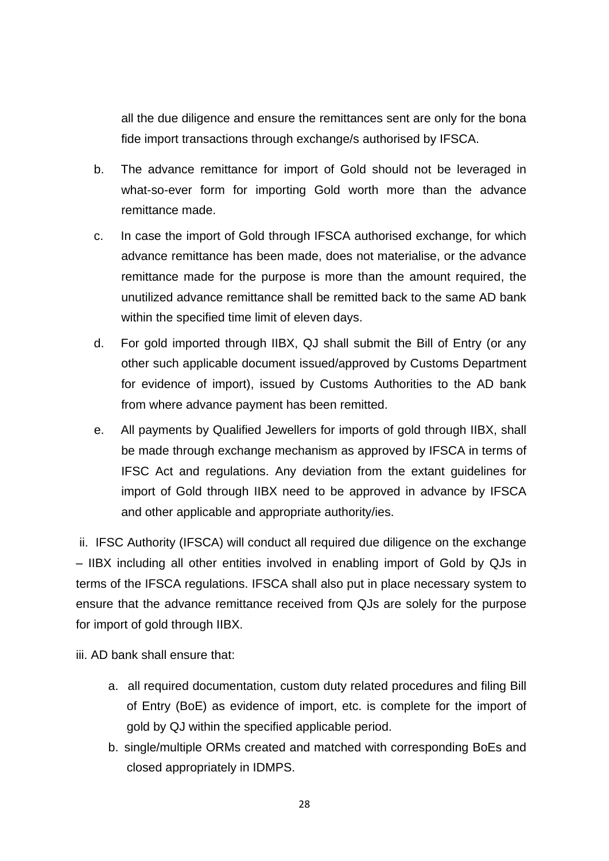all the due diligence and ensure the remittances sent are only for the bona fide import transactions through exchange/s authorised by IFSCA.

- b. The advance remittance for import of Gold should not be leveraged in what-so-ever form for importing Gold worth more than the advance remittance made.
- c. In case the import of Gold through IFSCA authorised exchange, for which advance remittance has been made, does not materialise, or the advance remittance made for the purpose is more than the amount required, the unutilized advance remittance shall be remitted back to the same AD bank within the specified time limit of eleven days.
- d. For gold imported through IIBX, QJ shall submit the Bill of Entry (or any other such applicable document issued/approved by Customs Department for evidence of import), issued by Customs Authorities to the AD bank from where advance payment has been remitted.
- e. All payments by Qualified Jewellers for imports of gold through IIBX, shall be made through exchange mechanism as approved by IFSCA in terms of IFSC Act and regulations. Any deviation from the extant guidelines for import of Gold through IIBX need to be approved in advance by IFSCA and other applicable and appropriate authority/ies.

ii. IFSC Authority (IFSCA) will conduct all required due diligence on the exchange – IIBX including all other entities involved in enabling import of Gold by QJs in terms of the IFSCA regulations. IFSCA shall also put in place necessary system to ensure that the advance remittance received from QJs are solely for the purpose for import of gold through IIBX.

iii. AD bank shall ensure that:

- a. all required documentation, custom duty related procedures and filing Bill of Entry (BoE) as evidence of import, etc. is complete for the import of gold by QJ within the specified applicable period.
- b. single/multiple ORMs created and matched with corresponding BoEs and closed appropriately in IDMPS.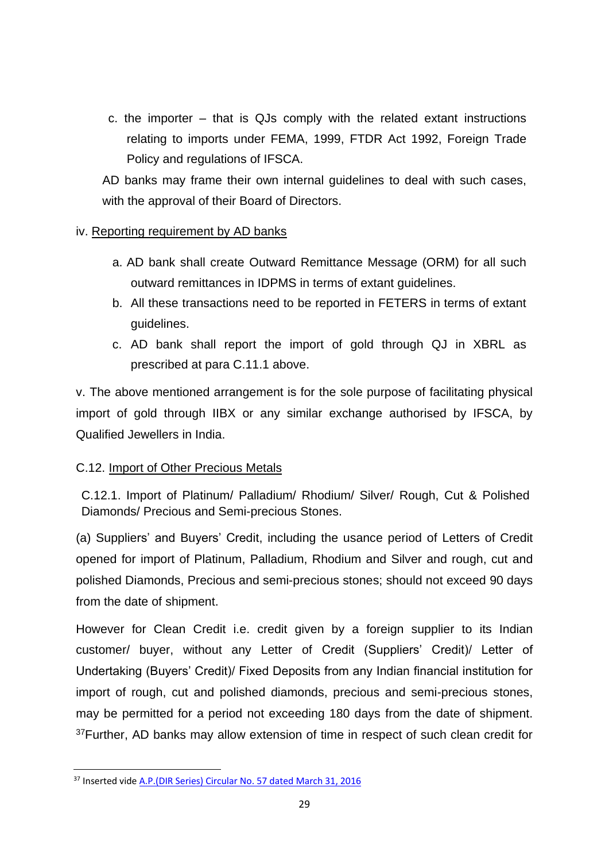c. the importer – that is QJs comply with the related extant instructions relating to imports under FEMA, 1999, FTDR Act 1992, Foreign Trade Policy and regulations of IFSCA.

AD banks may frame their own internal guidelines to deal with such cases, with the approval of their Board of Directors.

#### iv. Reporting requirement by AD banks

- a. AD bank shall create Outward Remittance Message (ORM) for all such outward remittances in IDPMS in terms of extant guidelines.
- b. All these transactions need to be reported in FETERS in terms of extant guidelines.
- c. AD bank shall report the import of gold through QJ in XBRL as prescribed at para C.11.1 above.

v. The above mentioned arrangement is for the sole purpose of facilitating physical import of gold through IIBX or any similar exchange authorised by IFSCA, by Qualified Jewellers in India.

## C.12. Import of Other Precious Metals

C.12.1. Import of Platinum/ Palladium/ Rhodium/ Silver/ Rough, Cut & Polished Diamonds/ Precious and Semi-precious Stones.

(a) Suppliers' and Buyers' Credit, including the usance period of Letters of Credit opened for import of Platinum, Palladium, Rhodium and Silver and rough, cut and polished Diamonds, Precious and semi-precious stones; should not exceed 90 days from the date of shipment.

However for Clean Credit i.e. credit given by a foreign supplier to its Indian customer/ buyer, without any Letter of Credit (Suppliers' Credit)/ Letter of Undertaking (Buyers' Credit)/ Fixed Deposits from any Indian financial institution for import of rough, cut and polished diamonds, precious and semi-precious stones, may be permitted for a period not exceeding 180 days from the date of shipment.  $37$  Further, AD banks may allow extension of time in respect of such clean credit for

<sup>&</sup>lt;sup>37</sup> Inserted vide A.P. (DIR Series) Circular No. 57 dated March 31, 2016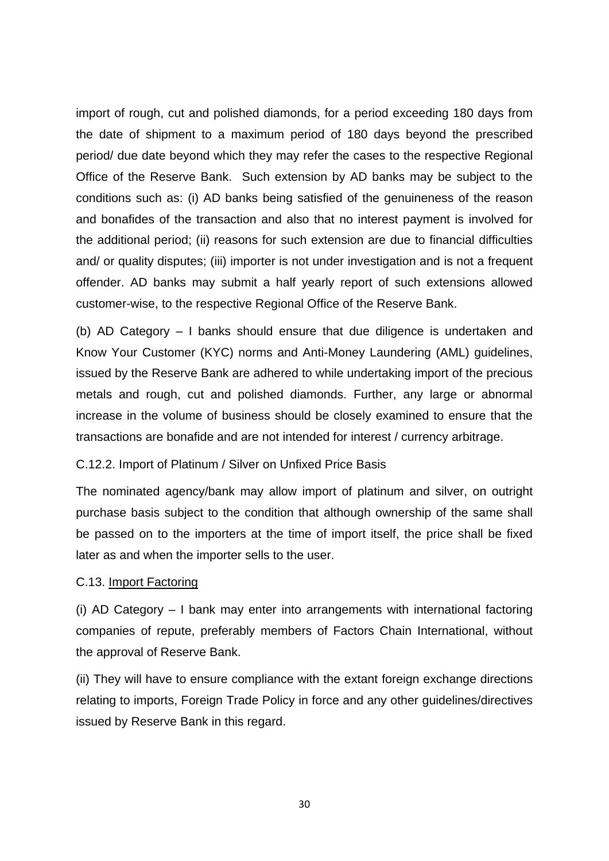import of rough, cut and polished diamonds, for a period exceeding 180 days from the date of shipment to a maximum period of 180 days beyond the prescribed period/ due date beyond which they may refer the cases to the respective Regional Office of the Reserve Bank. Such extension by AD banks may be subject to the conditions such as: (i) AD banks being satisfied of the genuineness of the reason and bonafides of the transaction and also that no interest payment is involved for the additional period; (ii) reasons for such extension are due to financial difficulties and/ or quality disputes; (iii) importer is not under investigation and is not a frequent offender. AD banks may submit a half yearly report of such extensions allowed customer-wise, to the respective Regional Office of the Reserve Bank.

(b) AD Category – I banks should ensure that due diligence is undertaken and Know Your Customer (KYC) norms and Anti-Money Laundering (AML) guidelines, issued by the Reserve Bank are adhered to while undertaking import of the precious metals and rough, cut and polished diamonds. Further, any large or abnormal increase in the volume of business should be closely examined to ensure that the transactions are bonafide and are not intended for interest / currency arbitrage.

#### C.12.2. Import of Platinum / Silver on Unfixed Price Basis

The nominated agency/bank may allow import of platinum and silver, on outright purchase basis subject to the condition that although ownership of the same shall be passed on to the importers at the time of import itself, the price shall be fixed later as and when the importer sells to the user.

#### C.13. Import Factoring

(i) AD Category – I bank may enter into arrangements with international factoring companies of repute, preferably members of Factors Chain International, without the approval of Reserve Bank.

(ii) They will have to ensure compliance with the extant foreign exchange directions relating to imports, Foreign Trade Policy in force and any other guidelines/directives issued by Reserve Bank in this regard.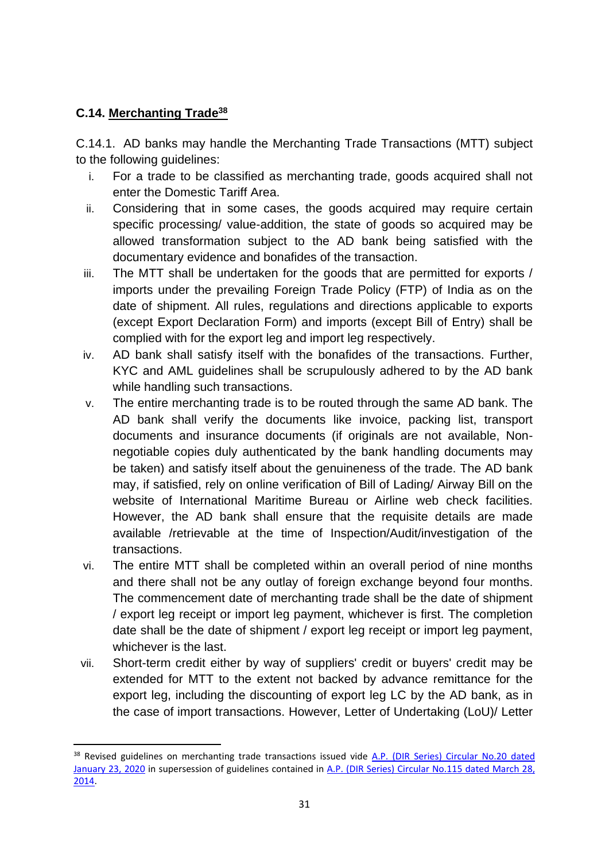## **C.14. Merchanting Trade<sup>38</sup>**

**.** 

C.14.1. AD banks may handle the Merchanting Trade Transactions (MTT) subject to the following guidelines:

- i. For a trade to be classified as merchanting trade, goods acquired shall not enter the Domestic Tariff Area.
- ii. Considering that in some cases, the goods acquired may require certain specific processing/ value-addition, the state of goods so acquired may be allowed transformation subject to the AD bank being satisfied with the documentary evidence and bonafides of the transaction.
- iii. The MTT shall be undertaken for the goods that are permitted for exports / imports under the prevailing Foreign Trade Policy (FTP) of India as on the date of shipment. All rules, regulations and directions applicable to exports (except Export Declaration Form) and imports (except Bill of Entry) shall be complied with for the export leg and import leg respectively.
- iv. AD bank shall satisfy itself with the bonafides of the transactions. Further, KYC and AML guidelines shall be scrupulously adhered to by the AD bank while handling such transactions.
- v. The entire merchanting trade is to be routed through the same AD bank. The AD bank shall verify the documents like invoice, packing list, transport documents and insurance documents (if originals are not available, Nonnegotiable copies duly authenticated by the bank handling documents may be taken) and satisfy itself about the genuineness of the trade. The AD bank may, if satisfied, rely on online verification of Bill of Lading/ Airway Bill on the website of International Maritime Bureau or Airline web check facilities. However, the AD bank shall ensure that the requisite details are made available /retrievable at the time of Inspection/Audit/investigation of the transactions.
- vi. The entire MTT shall be completed within an overall period of nine months and there shall not be any outlay of foreign exchange beyond four months. The commencement date of merchanting trade shall be the date of shipment / export leg receipt or import leg payment, whichever is first. The completion date shall be the date of shipment / export leg receipt or import leg payment, whichever is the last.
- vii. Short-term credit either by way of suppliers' credit or buyers' credit may be extended for MTT to the extent not backed by advance remittance for the export leg, including the discounting of export leg LC by the AD bank, as in the case of import transactions. However, Letter of Undertaking (LoU)/ Letter

<sup>&</sup>lt;sup>38</sup> Revised guidelines on merchanting trade transactions issued vide A.P. (DIR Series) Circular No.20 dated [January 23, 2020](https://www.rbi.org.in/Scripts/NotificationUser.aspx?Id=11799&Mode=0) in supersession of guidelines contained in [A.P. \(DIR Series\) Circular No.115 dated March 28,](https://www.rbi.org.in/Scripts/NotificationUser.aspx?Id=8812&Mode=0)  [2014.](https://www.rbi.org.in/Scripts/NotificationUser.aspx?Id=8812&Mode=0)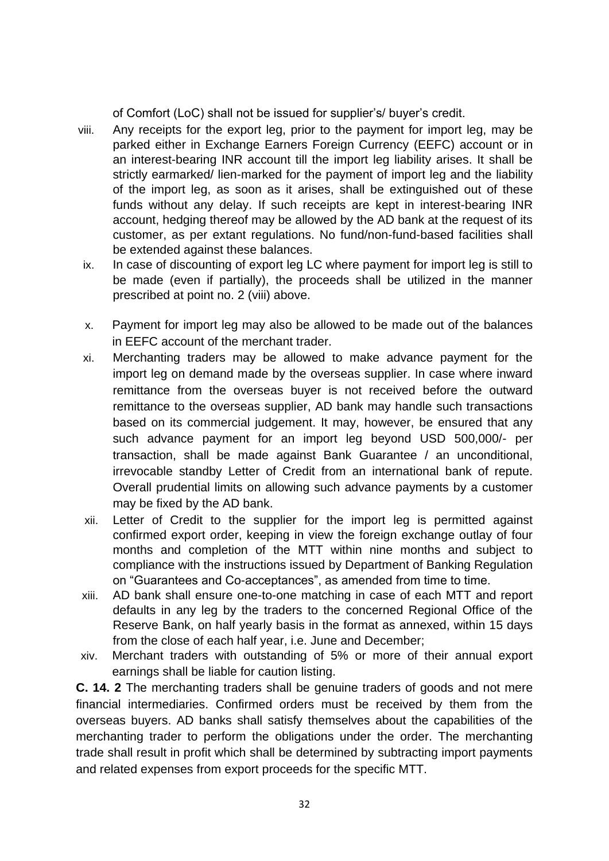of Comfort (LoC) shall not be issued for supplier's/ buyer's credit.

- viii. Any receipts for the export leg, prior to the payment for import leg, may be parked either in Exchange Earners Foreign Currency (EEFC) account or in an interest-bearing INR account till the import leg liability arises. It shall be strictly earmarked/ lien-marked for the payment of import leg and the liability of the import leg, as soon as it arises, shall be extinguished out of these funds without any delay. If such receipts are kept in interest-bearing INR account, hedging thereof may be allowed by the AD bank at the request of its customer, as per extant regulations. No fund/non-fund-based facilities shall be extended against these balances.
- ix. In case of discounting of export leg LC where payment for import leg is still to be made (even if partially), the proceeds shall be utilized in the manner prescribed at point no. 2 (viii) above.
- x. Payment for import leg may also be allowed to be made out of the balances in EEFC account of the merchant trader.
- xi. Merchanting traders may be allowed to make advance payment for the import leg on demand made by the overseas supplier. In case where inward remittance from the overseas buyer is not received before the outward remittance to the overseas supplier, AD bank may handle such transactions based on its commercial judgement. It may, however, be ensured that any such advance payment for an import leg beyond USD 500,000/- per transaction, shall be made against Bank Guarantee / an unconditional, irrevocable standby Letter of Credit from an international bank of repute. Overall prudential limits on allowing such advance payments by a customer may be fixed by the AD bank.
- xii. Letter of Credit to the supplier for the import leg is permitted against confirmed export order, keeping in view the foreign exchange outlay of four months and completion of the MTT within nine months and subject to compliance with the instructions issued by Department of Banking Regulation on "Guarantees and Co-acceptances", as amended from time to time.
- xiii. AD bank shall ensure one-to-one matching in case of each MTT and report defaults in any leg by the traders to the concerned Regional Office of the Reserve Bank, on half yearly basis in the format as annexed, within 15 days from the close of each half year, i.e. June and December;
- xiv. Merchant traders with outstanding of 5% or more of their annual export earnings shall be liable for caution listing.

**C. 14. 2** The merchanting traders shall be genuine traders of goods and not mere financial intermediaries. Confirmed orders must be received by them from the overseas buyers. AD banks shall satisfy themselves about the capabilities of the merchanting trader to perform the obligations under the order. The merchanting trade shall result in profit which shall be determined by subtracting import payments and related expenses from export proceeds for the specific MTT.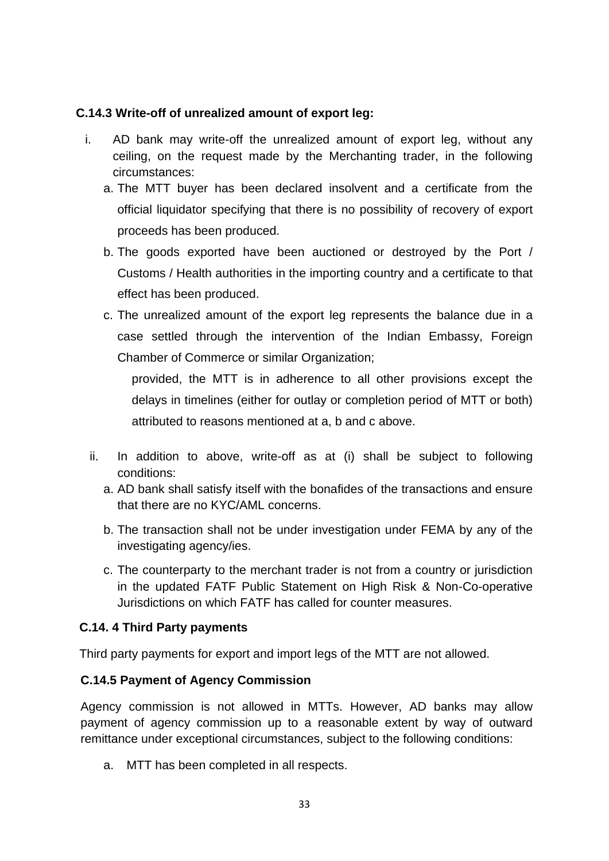## **C.14.3 Write-off of unrealized amount of export leg:**

- i. AD bank may write-off the unrealized amount of export leg, without any ceiling, on the request made by the Merchanting trader, in the following circumstances:
	- a. The MTT buyer has been declared insolvent and a certificate from the official liquidator specifying that there is no possibility of recovery of export proceeds has been produced.
	- b. The goods exported have been auctioned or destroyed by the Port / Customs / Health authorities in the importing country and a certificate to that effect has been produced.
	- c. The unrealized amount of the export leg represents the balance due in a case settled through the intervention of the Indian Embassy, Foreign Chamber of Commerce or similar Organization;

provided, the MTT is in adherence to all other provisions except the delays in timelines (either for outlay or completion period of MTT or both) attributed to reasons mentioned at a, b and c above.

- ii. In addition to above, write-off as at (i) shall be subject to following conditions:
	- a. AD bank shall satisfy itself with the bonafides of the transactions and ensure that there are no KYC/AML concerns.
	- b. The transaction shall not be under investigation under FEMA by any of the investigating agency/ies.
	- c. The counterparty to the merchant trader is not from a country or jurisdiction in the updated FATF Public Statement on High Risk & Non-Co-operative Jurisdictions on which FATF has called for counter measures.

#### **C.14. 4 Third Party payments**

Third party payments for export and import legs of the MTT are not allowed.

## **C.14.5 Payment of Agency Commission**

Agency commission is not allowed in MTTs. However, AD banks may allow payment of agency commission up to a reasonable extent by way of outward remittance under exceptional circumstances, subject to the following conditions:

a. MTT has been completed in all respects.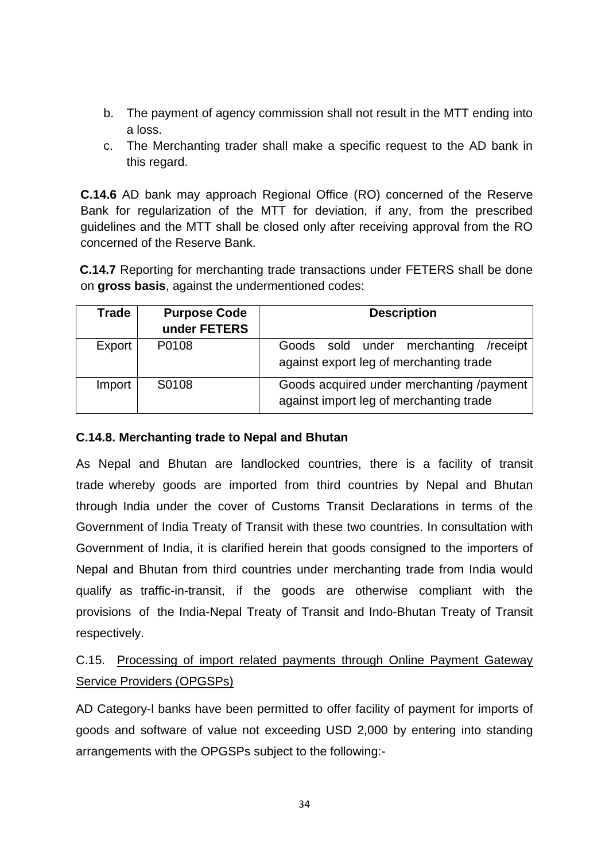- b. The payment of agency commission shall not result in the MTT ending into a loss.
- c. The Merchanting trader shall make a specific request to the AD bank in this regard.

**C.14.6** AD bank may approach Regional Office (RO) concerned of the Reserve Bank for regularization of the MTT for deviation, if any, from the prescribed guidelines and the MTT shall be closed only after receiving approval from the RO concerned of the Reserve Bank.

**C.14.7** Reporting for merchanting trade transactions under FETERS shall be done on **gross basis**, against the undermentioned codes:

| <b>Trade</b> | <b>Purpose Code</b><br>under FETERS | <b>Description</b>                                                                   |  |
|--------------|-------------------------------------|--------------------------------------------------------------------------------------|--|
| Export       | P0108                               | Goods sold under merchanting /receipt<br>against export leg of merchanting trade     |  |
| Import       | S0108                               | Goods acquired under merchanting /payment<br>against import leg of merchanting trade |  |

## **C.14.8. Merchanting trade to Nepal and Bhutan**

As Nepal and Bhutan are landlocked countries, there is a facility of transit trade whereby goods are imported from third countries by Nepal and Bhutan through India under the cover of Customs Transit Declarations in terms of the Government of India Treaty of Transit with these two countries. In consultation with Government of India, it is clarified herein that goods consigned to the importers of Nepal and Bhutan from third countries under merchanting trade from India would qualify as traffic-in-transit, if the goods are otherwise compliant with the provisions of the India-Nepal Treaty of Transit and Indo-Bhutan Treaty of Transit respectively.

## C.15. Processing of import related payments through Online Payment Gateway Service Providers (OPGSPs)

AD Category-l banks have been permitted to offer facility of payment for imports of goods and software of value not exceeding USD 2,000 by entering into standing arrangements with the OPGSPs subject to the following:-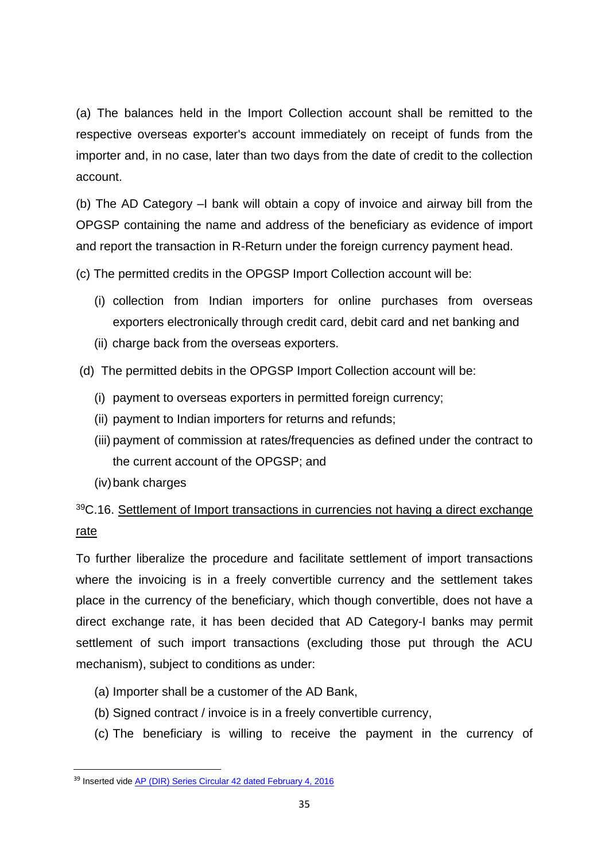(a) The balances held in the Import Collection account shall be remitted to the respective overseas exporter's account immediately on receipt of funds from the importer and, in no case, later than two days from the date of credit to the collection account.

(b) The AD Category –I bank will obtain a copy of invoice and airway bill from the OPGSP containing the name and address of the beneficiary as evidence of import and report the transaction in R-Return under the foreign currency payment head.

(c) The permitted credits in the OPGSP Import Collection account will be:

- (i) collection from Indian importers for online purchases from overseas exporters electronically through credit card, debit card and net banking and
- (ii) charge back from the overseas exporters.
- (d) The permitted debits in the OPGSP Import Collection account will be:
	- (i) payment to overseas exporters in permitted foreign currency;
	- (ii) payment to Indian importers for returns and refunds;
	- (iii) payment of commission at rates/frequencies as defined under the contract to the current account of the OPGSP; and
	- (iv)bank charges

**.** 

## <sup>39</sup>C.16. Settlement of Import transactions in currencies not having a direct exchange rate

To further liberalize the procedure and facilitate settlement of import transactions where the invoicing is in a freely convertible currency and the settlement takes place in the currency of the beneficiary, which though convertible, does not have a direct exchange rate, it has been decided that AD Category-I banks may permit settlement of such import transactions (excluding those put through the ACU mechanism), subject to conditions as under:

- (a) Importer shall be a customer of the AD Bank,
- (b) Signed contract / invoice is in a freely convertible currency,
- (c) The beneficiary is willing to receive the payment in the currency of

<sup>39</sup> Inserted vide [AP \(DIR\) Series Circular 42 dated February 4, 2016](https://www.rbi.org.in/Scripts/NotificationUser.aspx?Id=10263&Mode=0)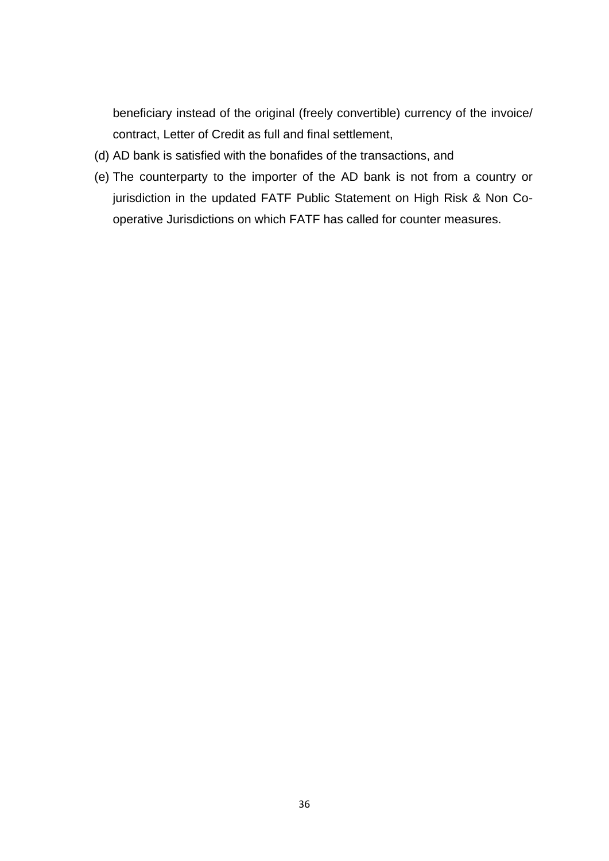beneficiary instead of the original (freely convertible) currency of the invoice/ contract, Letter of Credit as full and final settlement,

- (d) AD bank is satisfied with the bonafides of the transactions, and
- (e) The counterparty to the importer of the AD bank is not from a country or jurisdiction in the updated FATF Public Statement on High Risk & Non Cooperative Jurisdictions on which FATF has called for counter measures.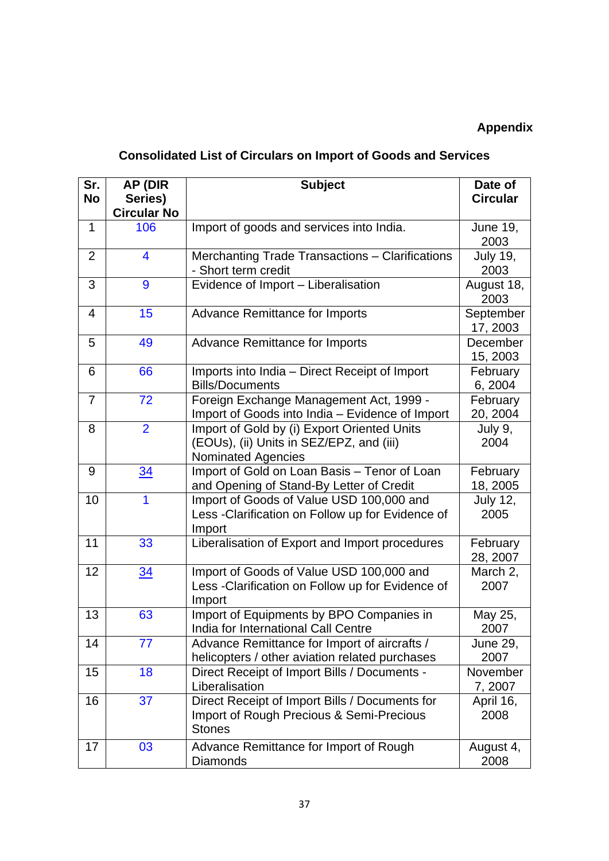## **Appendix**

# **Consolidated List of Circulars on Import of Goods and Services**

| Sr.            | AP (DIR            | <b>Subject</b>                                                                                                       | Date of                 |
|----------------|--------------------|----------------------------------------------------------------------------------------------------------------------|-------------------------|
| <b>No</b>      | Series)            |                                                                                                                      | <b>Circular</b>         |
|                | <b>Circular No</b> |                                                                                                                      |                         |
| $\mathbf{1}$   | 106                | Import of goods and services into India.                                                                             | <b>June 19,</b><br>2003 |
| $\overline{2}$ | 4                  | Merchanting Trade Transactions - Clarifications<br>- Short term credit                                               | <b>July 19,</b><br>2003 |
| 3              | 9                  | Evidence of Import - Liberalisation                                                                                  | August 18,<br>2003      |
| 4              | 15                 | <b>Advance Remittance for Imports</b>                                                                                | September<br>17, 2003   |
| 5              | 49                 | <b>Advance Remittance for Imports</b>                                                                                | December<br>15, 2003    |
| 6              | 66                 | Imports into India - Direct Receipt of Import<br><b>Bills/Documents</b>                                              | February<br>6, 2004     |
| $\overline{7}$ | 72                 | Foreign Exchange Management Act, 1999 -<br>Import of Goods into India - Evidence of Import                           | February<br>20, 2004    |
| 8              | $\overline{2}$     | Import of Gold by (i) Export Oriented Units<br>(EOUs), (ii) Units in SEZ/EPZ, and (iii)<br><b>Nominated Agencies</b> | July 9,<br>2004         |
| 9              | 34                 | Import of Gold on Loan Basis - Tenor of Loan<br>and Opening of Stand-By Letter of Credit                             | February<br>18, 2005    |
| 10             | 1                  | Import of Goods of Value USD 100,000 and<br>Less - Clarification on Follow up for Evidence of<br>Import              | <b>July 12,</b><br>2005 |
| 11             | 33                 | Liberalisation of Export and Import procedures                                                                       | February<br>28, 2007    |
| 12             | $\frac{34}{5}$     | Import of Goods of Value USD 100,000 and<br>Less - Clarification on Follow up for Evidence of<br>Import              | March 2,<br>2007        |
| 13             | 63                 | Import of Equipments by BPO Companies in<br>India for International Call Centre                                      | May 25,<br>2007         |
| 14             | 77                 | Advance Remittance for Import of aircrafts /<br>helicopters / other aviation related purchases                       | <b>June 29,</b><br>2007 |
| 15             | 18                 | Direct Receipt of Import Bills / Documents -<br>Liberalisation                                                       | November<br>7,2007      |
| 16             | 37                 | Direct Receipt of Import Bills / Documents for<br>Import of Rough Precious & Semi-Precious<br><b>Stones</b>          | April 16,<br>2008       |
| 17             | 03                 | Advance Remittance for Import of Rough<br>Diamonds                                                                   | August 4,<br>2008       |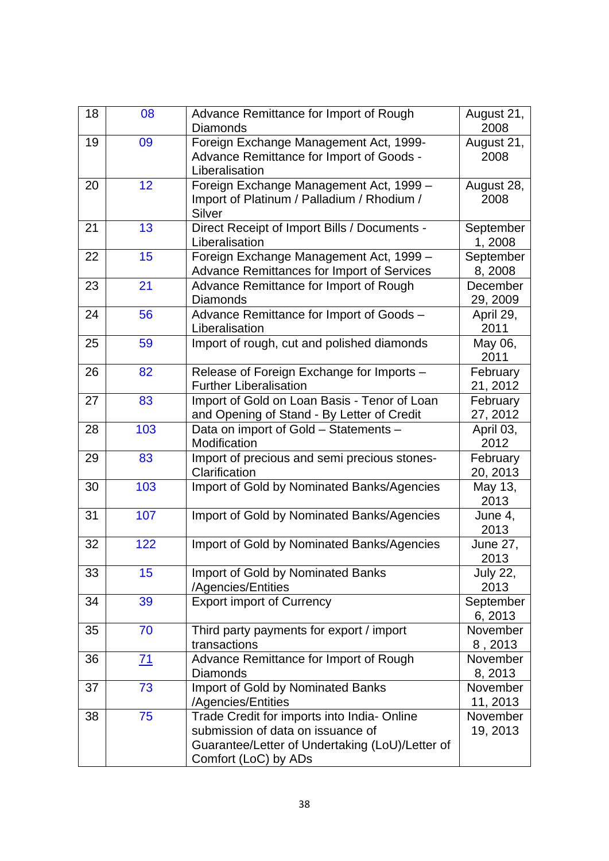| 18 | 08        | Advance Remittance for Import of Rough<br><b>Diamonds</b>                                                                                                  | August 21,<br>2008      |
|----|-----------|------------------------------------------------------------------------------------------------------------------------------------------------------------|-------------------------|
| 19 | 09        | Foreign Exchange Management Act, 1999-<br>Advance Remittance for Import of Goods -<br>Liberalisation                                                       | August 21,<br>2008      |
| 20 | 12        | Foreign Exchange Management Act, 1999 -<br>Import of Platinum / Palladium / Rhodium /<br>Silver                                                            | August 28,<br>2008      |
| 21 | 13        | Direct Receipt of Import Bills / Documents -<br>Liberalisation                                                                                             | September<br>1,2008     |
| 22 | 15        | Foreign Exchange Management Act, 1999 -<br>Advance Remittances for Import of Services                                                                      | September<br>8,2008     |
| 23 | 21        | Advance Remittance for Import of Rough<br><b>Diamonds</b>                                                                                                  | December<br>29, 2009    |
| 24 | 56        | Advance Remittance for Import of Goods -<br>Liberalisation                                                                                                 | April 29,<br>2011       |
| 25 | 59        | Import of rough, cut and polished diamonds                                                                                                                 | May 06,<br>2011         |
| 26 | 82        | Release of Foreign Exchange for Imports -<br><b>Further Liberalisation</b>                                                                                 | February<br>21, 2012    |
| 27 | 83        | Import of Gold on Loan Basis - Tenor of Loan<br>and Opening of Stand - By Letter of Credit                                                                 | February<br>27, 2012    |
| 28 | 103       | Data on import of Gold - Statements -<br>Modification                                                                                                      | April 03,<br>2012       |
| 29 | 83        | Import of precious and semi precious stones-<br>Clarification                                                                                              | February<br>20, 2013    |
| 30 | 103       | Import of Gold by Nominated Banks/Agencies                                                                                                                 | May 13,<br>2013         |
| 31 | 107       | Import of Gold by Nominated Banks/Agencies                                                                                                                 | June 4,<br>2013         |
| 32 | 122       | Import of Gold by Nominated Banks/Agencies                                                                                                                 | <b>June 27,</b><br>2013 |
| 33 | 15        | Import of Gold by Nominated Banks<br>/Agencies/Entities                                                                                                    | <b>July 22,</b><br>2013 |
| 34 | 39        | <b>Export import of Currency</b>                                                                                                                           | September<br>6,2013     |
| 35 | 70        | Third party payments for export / import<br>transactions                                                                                                   | November<br>8,2013      |
| 36 | <u>71</u> | Advance Remittance for Import of Rough<br><b>Diamonds</b>                                                                                                  | November<br>8,2013      |
| 37 | 73        | Import of Gold by Nominated Banks<br>/Agencies/Entities                                                                                                    | November<br>11, 2013    |
| 38 | 75        | Trade Credit for imports into India-Online<br>submission of data on issuance of<br>Guarantee/Letter of Undertaking (LoU)/Letter of<br>Comfort (LoC) by ADs | November<br>19, 2013    |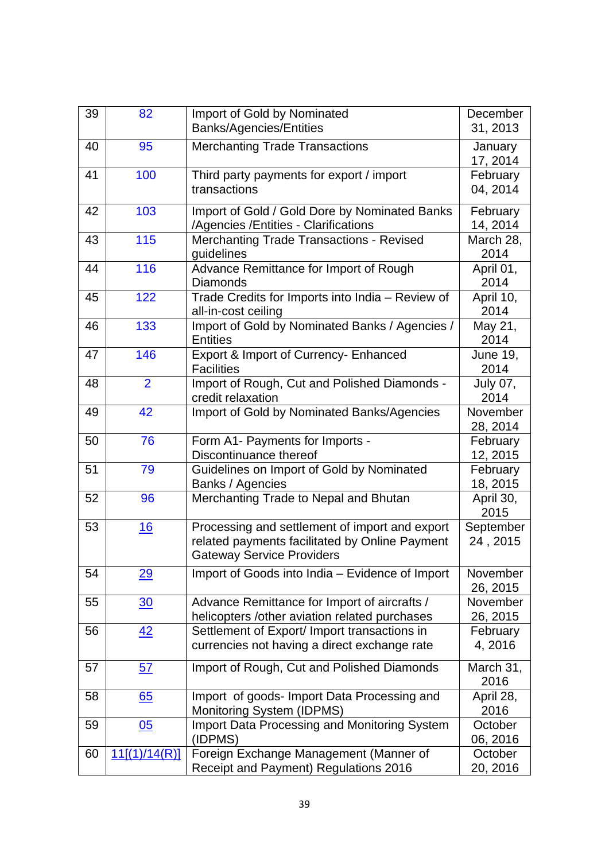| 39 | 82               | Import of Gold by Nominated<br><b>Banks/Agencies/Entities</b>                                                                        | December<br>31, 2013    |
|----|------------------|--------------------------------------------------------------------------------------------------------------------------------------|-------------------------|
| 40 | 95               | <b>Merchanting Trade Transactions</b>                                                                                                | January<br>17, 2014     |
| 41 | 100              | Third party payments for export / import<br>transactions                                                                             | February<br>04, 2014    |
| 42 | 103              | Import of Gold / Gold Dore by Nominated Banks<br>/Agencies / Entities - Clarifications                                               | February<br>14, 2014    |
| 43 | 115              | <b>Merchanting Trade Transactions - Revised</b><br>guidelines                                                                        | March 28,<br>2014       |
| 44 | 116              | Advance Remittance for Import of Rough<br><b>Diamonds</b>                                                                            | April 01,<br>2014       |
| 45 | 122              | Trade Credits for Imports into India - Review of<br>all-in-cost ceiling                                                              | April 10,<br>2014       |
| 46 | 133              | Import of Gold by Nominated Banks / Agencies /<br><b>Entities</b>                                                                    | May 21,<br>2014         |
| 47 | 146              | Export & Import of Currency- Enhanced<br><b>Facilities</b>                                                                           | <b>June 19,</b><br>2014 |
| 48 | $\overline{2}$   | Import of Rough, Cut and Polished Diamonds -<br>credit relaxation                                                                    | <b>July 07,</b><br>2014 |
| 49 | 42               | Import of Gold by Nominated Banks/Agencies                                                                                           | November<br>28, 2014    |
| 50 | 76               | Form A1- Payments for Imports -<br>Discontinuance thereof                                                                            | February<br>12, 2015    |
| 51 | 79               | Guidelines on Import of Gold by Nominated<br>Banks / Agencies                                                                        | February<br>18, 2015    |
| 52 | 96               | Merchanting Trade to Nepal and Bhutan                                                                                                | April 30,<br>2015       |
| 53 | <u>16</u>        | Processing and settlement of import and export<br>related payments facilitated by Online Payment<br><b>Gateway Service Providers</b> | September<br>24, 2015   |
| 54 | 29               | Import of Goods into India - Evidence of Import                                                                                      | November<br>26, 2015    |
| 55 | $\overline{30}$  | Advance Remittance for Import of aircrafts /<br>helicopters /other aviation related purchases                                        | November<br>26, 2015    |
| 56 | 42               | Settlement of Export/ Import transactions in<br>currencies not having a direct exchange rate                                         | February<br>4,2016      |
| 57 | 57               | Import of Rough, Cut and Polished Diamonds                                                                                           | March 31,<br>2016       |
| 58 | 65               | Import of goods-Import Data Processing and<br>Monitoring System (IDPMS)                                                              | April 28,<br>2016       |
| 59 | $\underline{05}$ | <b>Import Data Processing and Monitoring System</b><br>(IDPMS)                                                                       | October<br>06, 2016     |
| 60 | 11[(1)/14(R)]    | Foreign Exchange Management (Manner of<br>Receipt and Payment) Regulations 2016                                                      | October<br>20, 2016     |